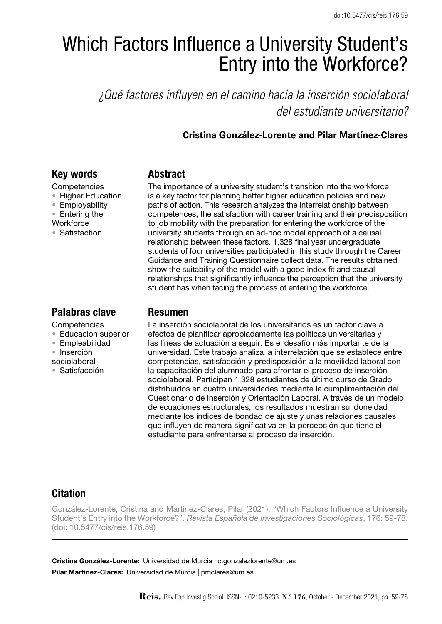# Which Factors Influence a University Student's Entry into the Workforce?

*¿Qué factores influyen en el camino hacia la inserción sociolaboral del estudiante universitario?*

## **Cristina González-Lorente and Pilar Martínez-Clares**

# Key words

- **Competencies**
- Higher Education
- Employability
- Entering the
- **Workforce**
- • Satisfaction

# Palabras clave

**Competencias** 

- • Educación superior
- • Empleabilidad
- • Inserción
- sociolaboral
- • Satisfacción

# Abstract

The importance of a university student's transition into the workforce is a key factor for planning better higher education policies and new paths of action. This research analyzes the interrelationship between competences, the satisfaction with career training and their predisposition to job mobility with the preparation for entering the workforce of the university students through an ad-hoc model approach of a causal relationship between these factors. 1,328 final year undergraduate students of four universities participated in this study through the Career Guidance and Training Questionnaire collect data. The results obtained show the suitability of the model with a good index fit and causal relationships that significantly influence the perception that the university student has when facing the process of entering the workforce.

## Resumen

La inserción sociolaboral de los universitarios es un factor clave a efectos de planificar apropiadamente las políticas universitarias y las líneas de actuación a seguir. Es el desafío más importante de la universidad. Este trabajo analiza la interrelación que se establece entre competencias, satisfacción y predisposición a la movilidad laboral con la capacitación del alumnado para afrontar el proceso de inserción sociolaboral. Participan 1.328 estudiantes de último curso de Grado distribuidos en cuatro universidades mediante la cumplimentación del Cuestionario de Inserción y Orientación Laboral. A través de un modelo de ecuaciones estructurales, los resultados muestran su idoneidad mediante los índices de bondad de ajuste y unas relaciones causales que influyen de manera significativa en la percepción que tiene el estudiante para enfrentarse al proceso de inserción.

# Citation

González-Lorente, Cristina and Martínez-Clares, Pilar (2021). "Which Factors Influence a University Student's Entry into the Workforce?". *Revista Española de Investigaciones Sociológicas*, 176: 59-78. (doi: 10.5477/cis/reis.176.59)

Cristina González-Lorente: Universidad de Murcia | c.gonzalezlorente@um.es Pilar Martínez-Clares: Universidad de Murcia | pmclares@um.es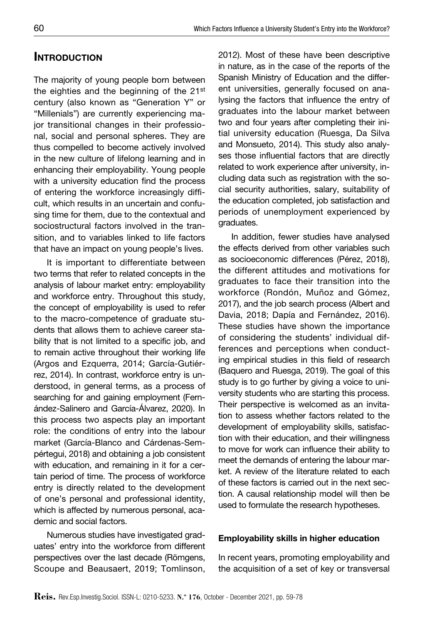# **INTRODUCTION**

The majority of young people born between the eighties and the beginning of the 21st century (also known as "Generation Y" or "Millenials") are currently experiencing major transitional changes in their professional, social and personal spheres. They are thus compelled to become actively involved in the new culture of lifelong learning and in enhancing their employability. Young people with a university education find the process of entering the workforce increasingly difficult, which results in an uncertain and confusing time for them, due to the contextual and sociostructural factors involved in the transition, and to variables linked to life factors that have an impact on young people's lives.

It is important to differentiate between two terms that refer to related concepts in the analysis of labour market entry: employability and workforce entry. Throughout this study, the concept of employability is used to refer to the macro-competence of graduate students that allows them to achieve career stability that is not limited to a specific job, and to remain active throughout their working life (Argos and Ezquerra, 2014; García-Gutiérrez, 2014). In contrast, workforce entry is understood, in general terms, as a process of searching for and gaining employment (Fernández-Salinero and García-Álvarez, 2020). In this process two aspects play an important role: the conditions of entry into the labour market (García-Blanco and Cárdenas-Sempértegui, 2018) and obtaining a job consistent with education, and remaining in it for a certain period of time. The process of workforce entry is directly related to the development of one's personal and professional identity, which is affected by numerous personal, academic and social factors.

Numerous studies have investigated graduates' entry into the workforce from different perspectives over the last decade (Römgens, Scoupe and Beausaert, 2019; Tomlinson, 2012). Most of these have been descriptive in nature, as in the case of the reports of the Spanish Ministry of Education and the different universities, generally focused on analysing the factors that influence the entry of graduates into the labour market between two and four years after completing their initial university education (Ruesga, Da Silva and Monsueto, 2014). This study also analyses those influential factors that are directly related to work experience after university, including data such as registration with the social security authorities, salary, suitability of the education completed, job satisfaction and periods of unemployment experienced by graduates.

In addition, fewer studies have analysed the effects derived from other variables such as socioeconomic differences (Pérez, 2018), the different attitudes and motivations for graduates to face their transition into the workforce (Rondón, Muñoz and Gómez, 2017), and the job search process (Albert and Davia, 2018; Dapía and Fernández, 2016). These studies have shown the importance of considering the students' individual differences and perceptions when conducting empirical studies in this field of research (Baquero and Ruesga, 2019). The goal of this study is to go further by giving a voice to university students who are starting this process. Their perspective is welcomed as an invitation to assess whether factors related to the development of employability skills, satisfaction with their education, and their willingness to move for work can influence their ability to meet the demands of entering the labour market. A review of the literature related to each of these factors is carried out in the next section. A causal relationship model will then be used to formulate the research hypotheses.

### Employability skills in higher education

In recent years, promoting employability and the acquisition of a set of key or transversal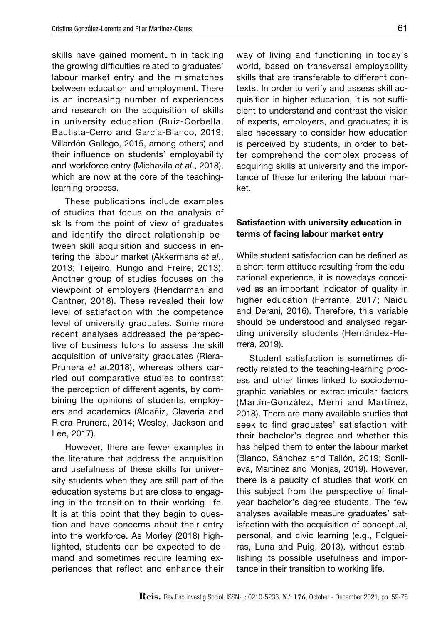skills have gained momentum in tackling the growing difficulties related to graduates' labour market entry and the mismatches between education and employment. There is an increasing number of experiences and research on the acquisition of skills in university education (Ruiz-Corbella, Bautista-Cerro and García-Blanco, 2019; Villardón-Gallego, 2015, among others) and their influence on students' employability and workforce entry (Michavila *et al*., 2018), which are now at the core of the teachinglearning process.

These publications include examples of studies that focus on the analysis of skills from the point of view of graduates and identify the direct relationship between skill acquisition and success in entering the labour market (Akkermans *et al*., 2013; Teijeiro, Rungo and Freire, 2013). Another group of studies focuses on the viewpoint of employers (Hendarman and Cantner, 2018). These revealed their low level of satisfaction with the competence level of university graduates. Some more recent analyses addressed the perspective of business tutors to assess the skill acquisition of university graduates (Riera-Prunera *et al*.2018), whereas others carried out comparative studies to contrast the perception of different agents, by combining the opinions of students, employers and academics (Alcañiz, Claveria and Riera-Prunera, 2014; Wesley, Jackson and Lee, 2017).

However, there are fewer examples in the literature that address the acquisition and usefulness of these skills for university students when they are still part of the education systems but are close to engaging in the transition to their working life. It is at this point that they begin to question and have concerns about their entry into the workforce. As Morley (2018) highlighted, students can be expected to demand and sometimes require learning experiences that reflect and enhance their way of living and functioning in today's world, based on transversal employability skills that are transferable to different contexts. In order to verify and assess skill acquisition in higher education, it is not sufficient to understand and contrast the vision of experts, employers, and graduates; it is also necessary to consider how education is perceived by students, in order to better comprehend the complex process of acquiring skills at university and the importance of these for entering the labour market.

#### Satisfaction with university education in terms of facing labour market entry

While student satisfaction can be defined as a short-term attitude resulting from the educational experience, it is nowadays conceived as an important indicator of quality in higher education (Ferrante, 2017; Naidu and Derani, 2016). Therefore, this variable should be understood and analysed regarding university students (Hernández-Herrera, 2019).

Student satisfaction is sometimes directly related to the teaching-learning process and other times linked to sociodemographic variables or extracurricular factors (Martín-González, Merhi and Martínez, 2018). There are many available studies that seek to find graduates' satisfaction with their bachelor's degree and whether this has helped them to enter the labour market (Blanco, Sánchez and Tallón, 2019; Sonlleva, Martínez and Monjas, 2019). However, there is a paucity of studies that work on this subject from the perspective of finalyear bachelor's degree students. The few analyses available measure graduates' satisfaction with the acquisition of conceptual, personal, and civic learning (e.g., Folgueiras, Luna and Puig, 2013), without establishing its possible usefulness and importance in their transition to working life.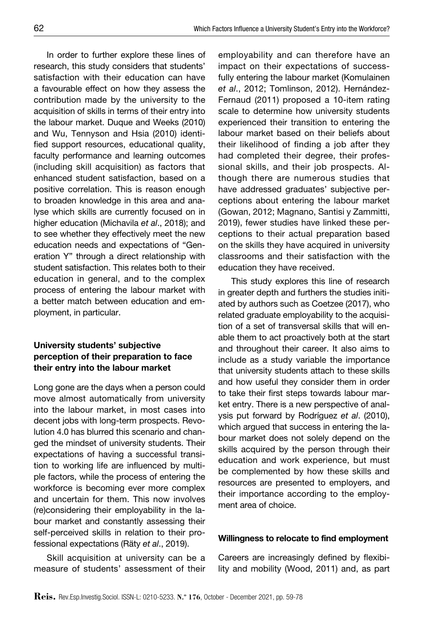In order to further explore these lines of research, this study considers that students' satisfaction with their education can have a favourable effect on how they assess the contribution made by the university to the acquisition of skills in terms of their entry into the labour market. Duque and Weeks (2010) and Wu, Tennyson and Hsia (2010) identified support resources, educational quality, faculty performance and learning outcomes (including skill acquisition) as factors that enhanced student satisfaction, based on a positive correlation. This is reason enough to broaden knowledge in this area and analyse which skills are currently focused on in higher education (Michavila *et al*., 2018); and to see whether they effectively meet the new education needs and expectations of "Generation Y" through a direct relationship with student satisfaction. This relates both to their education in general, and to the complex process of entering the labour market with a better match between education and employment, in particular.

## University students' subjective perception of their preparation to face their entry into the labour market

Long gone are the days when a person could move almost automatically from university into the labour market, in most cases into decent jobs with long-term prospects. Revolution 4.0 has blurred this scenario and changed the mindset of university students. Their expectations of having a successful transition to working life are influenced by multiple factors, while the process of entering the workforce is becoming ever more complex and uncertain for them. This now involves (re)considering their employability in the labour market and constantly assessing their self-perceived skills in relation to their professional expectations (Räty *et al*., 2019).

Skill acquisition at university can be a measure of students' assessment of their

employability and can therefore have an impact on their expectations of successfully entering the labour market (Komulainen *et al*., 2012; Tomlinson, 2012). Hernández-Fernaud (2011) proposed a 10-item rating scale to determine how university students experienced their transition to entering the labour market based on their beliefs about their likelihood of finding a job after they had completed their degree, their professional skills, and their job prospects. Although there are numerous studies that have addressed graduates' subjective perceptions about entering the labour market (Gowan, 2012; Magnano, Santisi y Zammitti, 2019), fewer studies have linked these perceptions to their actual preparation based on the skills they have acquired in university classrooms and their satisfaction with the education they have received.

This study explores this line of research in greater depth and furthers the studies initiated by authors such as Coetzee (2017), who related graduate employability to the acquisition of a set of transversal skills that will enable them to act proactively both at the start and throughout their career. It also aims to include as a study variable the importance that university students attach to these skills and how useful they consider them in order to take their first steps towards labour market entry. There is a new perspective of analysis put forward by Rodríguez *et al*. (2010), which argued that success in entering the labour market does not solely depend on the skills acquired by the person through their education and work experience, but must be complemented by how these skills and resources are presented to employers, and their importance according to the employment area of choice.

#### Willingness to relocate to find employment

Careers are increasingly defined by flexibility and mobility (Wood, 2011) and, as part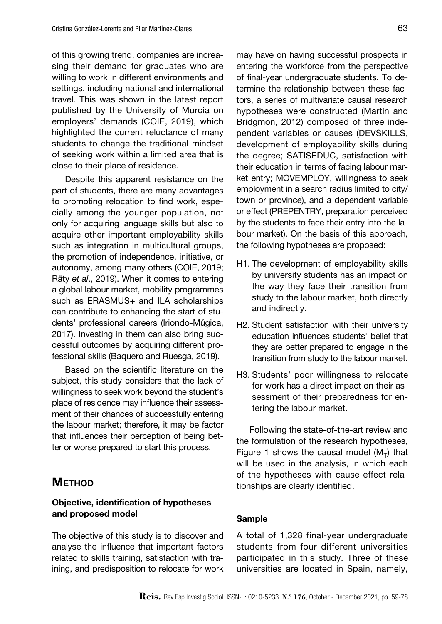of this growing trend, companies are increasing their demand for graduates who are willing to work in different environments and settings, including national and international travel. This was shown in the latest report published by the University of Murcia on employers' demands (COIE, 2019), which highlighted the current reluctance of many students to change the traditional mindset of seeking work within a limited area that is close to their place of residence.

Despite this apparent resistance on the part of students, there are many advantages to promoting relocation to find work, especially among the younger population, not only for acquiring language skills but also to acquire other important employability skills such as integration in multicultural groups, the promotion of independence, initiative, or autonomy, among many others (COIE, 2019; Räty *et al*., 2019). When it comes to entering a global labour market, mobility programmes such as ERASMUS+ and ILA scholarships can contribute to enhancing the start of students' professional careers (Iriondo-Múgica, 2017). Investing in them can also bring successful outcomes by acquiring different professional skills (Baquero and Ruesga, 2019).

Based on the scientific literature on the subject, this study considers that the lack of willingness to seek work beyond the student's place of residence may influence their assessment of their chances of successfully entering the labour market; therefore, it may be factor that influences their perception of being better or worse prepared to start this process.

# **METHOD**

### Objective, identification of hypotheses and proposed model

The objective of this study is to discover and analyse the influence that important factors related to skills training, satisfaction with training, and predisposition to relocate for work may have on having successful prospects in entering the workforce from the perspective of final-year undergraduate students. To determine the relationship between these factors, a series of multivariate causal research hypotheses were constructed (Martin and Bridgmon, 2012) composed of three independent variables or causes (DEVSKILLS, development of employability skills during the degree; SATISEDUC, satisfaction with their education in terms of facing labour market entry; MOVEMPLOY, willingness to seek employment in a search radius limited to city/ town or province), and a dependent variable or effect (PREPENTRY, preparation perceived by the students to face their entry into the labour market). On the basis of this approach, the following hypotheses are proposed:

- H1. The development of employability skills by university students has an impact on the way they face their transition from study to the labour market, both directly and indirectly.
- H2. Student satisfaction with their university education influences students' belief that they are better prepared to engage in the transition from study to the labour market.
- H3. Students' poor willingness to relocate for work has a direct impact on their assessment of their preparedness for entering the labour market.

Following the state-of-the-art review and the formulation of the research hypotheses, Figure 1 shows the causal model  $(M_T)$  that will be used in the analysis, in which each of the hypotheses with cause-effect relationships are clearly identified.

#### Sample

A total of 1,328 final-year undergraduate students from four different universities participated in this study. Three of these universities are located in Spain, namely,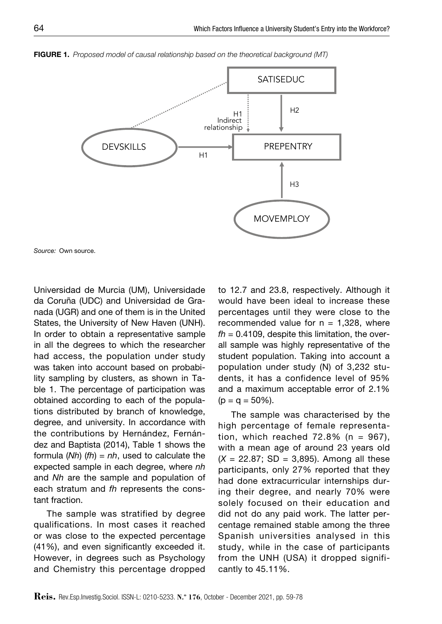

Figure 1. *Proposed model of causal relationship based on the theoretical background (MT)*

*Source:* Own source.

Universidad de Murcia (UM), Universidade da Coruña (UDC) and Universidad de Granada (UGR) and one of them is in the United States, the University of New Haven (UNH). In order to obtain a representative sample in all the degrees to which the researcher had access, the population under study was taken into account based on probability sampling by clusters, as shown in Table 1. The percentage of participation was obtained according to each of the populations distributed by branch of knowledge, degree, and university. In accordance with the contributions by Hernández, Fernández and Baptista (2014), Table 1 shows the formula (*Nh*) (*fh*) = *nh*, used to calculate the expected sample in each degree, where *nh* and *Nh* are the sample and population of each stratum and *fh* represents the constant fraction.

The sample was stratified by degree qualifications. In most cases it reached or was close to the expected percentage (41%), and even significantly exceeded it. However, in degrees such as Psychology and Chemistry this percentage dropped

to 12.7 and 23.8, respectively. Although it would have been ideal to increase these percentages until they were close to the recommended value for  $n = 1,328$ , where  $fh = 0.4109$ , despite this limitation, the overall sample was highly representative of the student population. Taking into account a population under study (N) of 3,232 students, it has a confidence level of 95% and a maximum acceptable error of 2.1%  $(p = q = 50\%).$ 

The sample was characterised by the high percentage of female representation, which reached  $72.8\%$  (n = 967), with a mean age of around 23 years old  $(X = 22.87; SD = 3,895)$ . Among all these participants, only 27% reported that they had done extracurricular internships during their degree, and nearly 70% were solely focused on their education and did not do any paid work. The latter percentage remained stable among the three Spanish universities analysed in this study, while in the case of participants from the UNH (USA) it dropped significantly to 45.11%.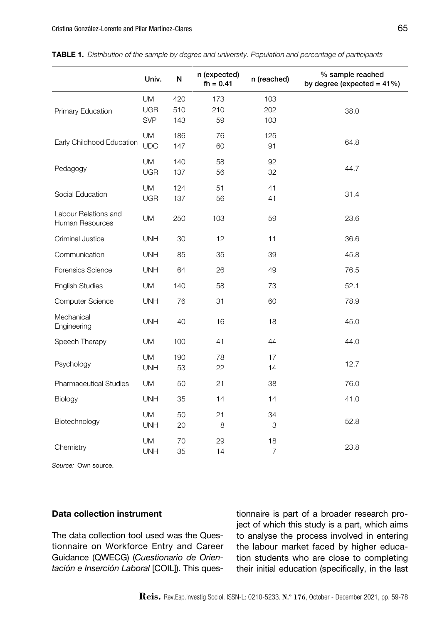|                                         | Univ.                                 | N                 | n (expected)<br>$fh = 0.41$ | n (reached)          | % sample reached<br>by degree (expected = $41\%$ ) |
|-----------------------------------------|---------------------------------------|-------------------|-----------------------------|----------------------|----------------------------------------------------|
| Primary Education                       | <b>UM</b><br><b>UGR</b><br><b>SVP</b> | 420<br>510<br>143 | 173<br>210<br>59            | 103<br>202<br>103    | 38.0                                               |
| Early Childhood Education               | <b>UM</b><br><b>UDC</b>               | 186<br>147        | 76<br>60                    | 125<br>91            | 64.8                                               |
| Pedagogy                                | <b>UM</b><br><b>UGR</b>               | 140<br>137        | 58<br>56                    | 92<br>32             | 44.7                                               |
| Social Education                        | <b>UM</b><br><b>UGR</b>               | 124<br>137        | 51<br>56                    | 41<br>41             | 31.4                                               |
| Labour Relations and<br>Human Resources | <b>UM</b>                             | 250               | 103                         | 59                   | 23.6                                               |
| Criminal Justice                        | <b>UNH</b>                            | 30                | 12                          | 11                   | 36.6                                               |
| Communication                           | <b>UNH</b>                            | 85                | 35                          | 39                   | 45.8                                               |
| Forensics Science                       | <b>UNH</b>                            | 64                | 26                          | 49                   | 76.5                                               |
| <b>English Studies</b>                  | <b>UM</b>                             | 140               | 58                          | 73                   | 52.1                                               |
| Computer Science                        | <b>UNH</b>                            | 76                | 31                          | 60                   | 78.9                                               |
| Mechanical<br>Engineering               | <b>UNH</b>                            | 40                | 16                          | 18                   | 45.0                                               |
| Speech Therapy                          | <b>UM</b>                             | 100               | 41                          | 44                   | 44.0                                               |
| Psychology                              | <b>UM</b><br><b>UNH</b>               | 190<br>53         | 78<br>22                    | 17<br>14             | 12.7                                               |
| <b>Pharmaceutical Studies</b>           | <b>UM</b>                             | 50                | 21                          | 38                   | 76.0                                               |
| Biology                                 | <b>UNH</b>                            | 35                | 14                          | 14                   | 41.0                                               |
| Biotechnology                           | <b>UM</b><br><b>UNH</b>               | 50<br>20          | 21<br>8                     | 34<br>3              | 52.8                                               |
| Chemistry                               | <b>UM</b><br><b>UNH</b>               | 70<br>35          | 29<br>14                    | 18<br>$\overline{7}$ | 23.8                                               |

| <b>TABLE 1.</b> Distribution of the sample by degree and university. Population and percentage of participants |  |  |
|----------------------------------------------------------------------------------------------------------------|--|--|
|----------------------------------------------------------------------------------------------------------------|--|--|

*Source:* Own source.

#### Data collection instrument

The data collection tool used was the Questionnaire on Workforce Entry and Career Guidance (QWECG) (*Cuestionario de Orientación e Inserción Laboral* [COIL]). This questionnaire is part of a broader research project of which this study is a part, which aims to analyse the process involved in entering the labour market faced by higher education students who are close to completing their initial education (specifically, in the last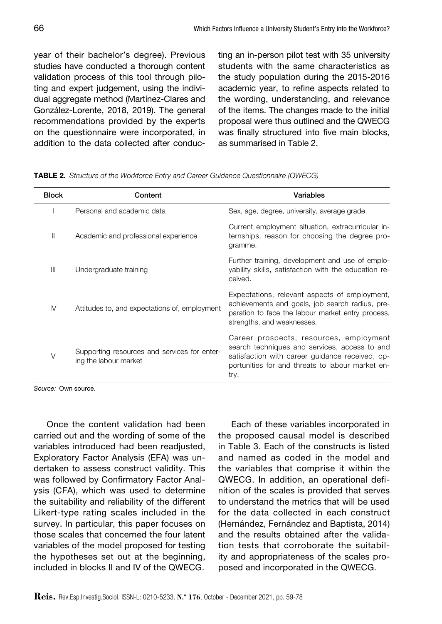year of their bachelor's degree). Previous studies have conducted a thorough content validation process of this tool through piloting and expert judgement, using the individual aggregate method (Martínez-Clares and González-Lorente, 2018, 2019). The general recommendations provided by the experts on the questionnaire were incorporated, in addition to the data collected after conduc-

ting an in-person pilot test with 35 university students with the same characteristics as the study population during the 2015-2016 academic year, to refine aspects related to the wording, understanding, and relevance of the items. The changes made to the initial proposal were thus outlined and the QWECG was finally structured into five main blocks, as summarised in Table 2.

| <b>Block</b> | Content                                                               | Variables                                                                                                                                                                                               |
|--------------|-----------------------------------------------------------------------|---------------------------------------------------------------------------------------------------------------------------------------------------------------------------------------------------------|
|              | Personal and academic data                                            | Sex, age, degree, university, average grade.                                                                                                                                                            |
| Ш            | Academic and professional experience                                  | Current employment situation, extracurricular in-<br>ternships, reason for choosing the degree pro-<br>gramme.                                                                                          |
| Ш            | Undergraduate training                                                | Further training, development and use of emplo-<br>vability skills, satisfaction with the education re-<br>ceived.                                                                                      |
| IV           | Attitudes to, and expectations of, employment                         | Expectations, relevant aspects of employment,<br>achievements and goals, job search radius, pre-<br>paration to face the labour market entry process,<br>strengths, and weaknesses.                     |
| V            | Supporting resources and services for enter-<br>ing the labour market | Career prospects, resources, employment<br>search techniques and services, access to and<br>satisfaction with career guidance received, op-<br>portunities for and threats to labour market en-<br>try. |

Table 2. *Structure of the Workforce Entry and Career Guidance Questionnaire (QWECG)*

*Source:* Own source.

Once the content validation had been carried out and the wording of some of the variables introduced had been readjusted, Exploratory Factor Analysis (EFA) was undertaken to assess construct validity. This was followed by Confirmatory Factor Analysis (CFA), which was used to determine the suitability and reliability of the different Likert-type rating scales included in the survey. In particular, this paper focuses on those scales that concerned the four latent variables of the model proposed for testing the hypotheses set out at the beginning, included in blocks II and IV of the QWECG.

Each of these variables incorporated in the proposed causal model is described in Table 3. Each of the constructs is listed and named as coded in the model and the variables that comprise it within the QWECG. In addition, an operational definition of the scales is provided that serves to understand the metrics that will be used for the data collected in each construct (Hernández, Fernández and Baptista, 2014) and the results obtained after the validation tests that corroborate the suitability and appropriateness of the scales proposed and incorporated in the QWECG.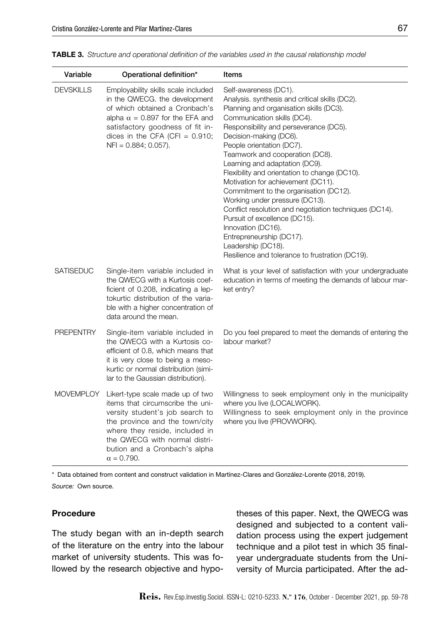| Variable         | Operational definition*                                                                                                                                                                                                                                            | Items                                                                                                                                                                                                                                                                                                                                                                                                                                                                                                                                                                                                                                                                                                            |
|------------------|--------------------------------------------------------------------------------------------------------------------------------------------------------------------------------------------------------------------------------------------------------------------|------------------------------------------------------------------------------------------------------------------------------------------------------------------------------------------------------------------------------------------------------------------------------------------------------------------------------------------------------------------------------------------------------------------------------------------------------------------------------------------------------------------------------------------------------------------------------------------------------------------------------------------------------------------------------------------------------------------|
| <b>DEVSKILLS</b> | Employability skills scale included<br>in the QWECG. the development<br>of which obtained a Cronbach's<br>alpha $\alpha$ = 0.897 for the EFA and<br>satisfactory goodness of fit in-<br>dices in the CFA (CFI = $0.910$ ;<br>$NFI = 0.884; 0.057$ ).               | Self-awareness (DC1).<br>Analysis. synthesis and critical skills (DC2).<br>Planning and organisation skills (DC3).<br>Communication skills (DC4).<br>Responsibility and perseverance (DC5).<br>Decision-making (DC6).<br>People orientation (DC7).<br>Teamwork and cooperation (DC8).<br>Learning and adaptation (DC9).<br>Flexibility and orientation to change (DC10).<br>Motivation for achievement (DC11).<br>Commitment to the organisation (DC12).<br>Working under pressure (DC13).<br>Conflict resolution and negotiation techniques (DC14).<br>Pursuit of excellence (DC15).<br>Innovation (DC16).<br>Entrepreneurship (DC17).<br>Leadership (DC18).<br>Resilience and tolerance to frustration (DC19). |
| <b>SATISEDUC</b> | Single-item variable included in<br>the QWECG with a Kurtosis coef-<br>ficient of 0.208, indicating a lep-<br>tokurtic distribution of the varia-<br>ble with a higher concentration of<br>data around the mean.                                                   | What is your level of satisfaction with your undergraduate<br>education in terms of meeting the demands of labour mar-<br>ket entry?                                                                                                                                                                                                                                                                                                                                                                                                                                                                                                                                                                             |
| <b>PREPENTRY</b> | Single-item variable included in<br>the QWECG with a Kurtosis co-<br>efficient of 0.8, which means that<br>it is very close to being a meso-<br>kurtic or normal distribution (simi-<br>lar to the Gaussian distribution).                                         | Do you feel prepared to meet the demands of entering the<br>labour market?                                                                                                                                                                                                                                                                                                                                                                                                                                                                                                                                                                                                                                       |
| MOVEMPLOY        | Likert-type scale made up of two<br>items that circumscribe the uni-<br>versity student's job search to<br>the province and the town/city<br>where they reside, included in<br>the QWECG with normal distri-<br>bution and a Cronbach's alpha<br>$\alpha = 0.790.$ | Willingness to seek employment only in the municipality<br>where you live (LOCALWORK).<br>Willingness to seek employment only in the province<br>where you live (PROVWORK).                                                                                                                                                                                                                                                                                                                                                                                                                                                                                                                                      |

Table 3. *Structure and operational definition of the variables used in the causal relationship model*

\* Data obtained from content and construct validation in Martínez-Clares and González-Lorente (2018, 2019).

*Source:* Own source.

#### Procedure

The study began with an in-depth search of the literature on the entry into the labour market of university students. This was followed by the research objective and hypotheses of this paper. Next, the QWECG was designed and subjected to a content validation process using the expert judgement technique and a pilot test in which 35 finalyear undergraduate students from the University of Murcia participated. After the ad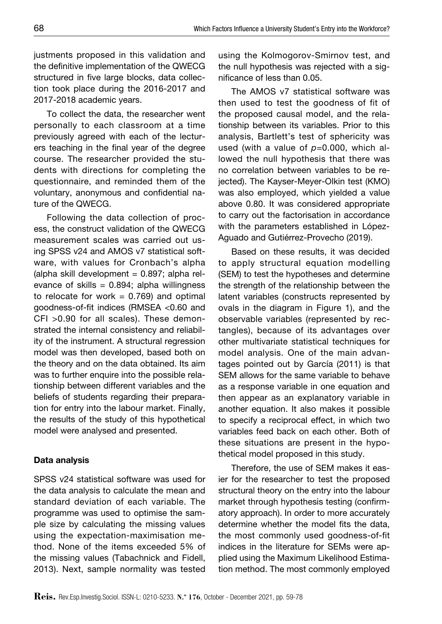justments proposed in this validation and the definitive implementation of the QWECG structured in five large blocks, data collection took place during the 2016-2017 and 2017-2018 academic years.

To collect the data, the researcher went personally to each classroom at a time previously agreed with each of the lecturers teaching in the final year of the degree course. The researcher provided the students with directions for completing the questionnaire, and reminded them of the voluntary, anonymous and confidential nature of the QWECG.

Following the data collection of process, the construct validation of the QWECG measurement scales was carried out using SPSS v24 and AMOS v7 statistical software, with values for Cronbach's alpha (alpha skill development  $= 0.897$ ; alpha relevance of skills =  $0.894$ ; alpha willingness to relocate for work  $= 0.769$ ) and optimal goodness-of-fit indices (RMSEA <0.60 and CFI >0.90 for all scales). These demonstrated the internal consistency and reliability of the instrument. A structural regression model was then developed, based both on the theory and on the data obtained. Its aim was to further enquire into the possible relationship between different variables and the beliefs of students regarding their preparation for entry into the labour market. Finally, the results of the study of this hypothetical model were analysed and presented.

### Data analysis

SPSS v24 statistical software was used for the data analysis to calculate the mean and standard deviation of each variable. The programme was used to optimise the sample size by calculating the missing values using the expectation-maximisation method. None of the items exceeded 5% of the missing values (Tabachnick and Fidell, using the Kolmogorov-Smirnov test, and the null hypothesis was rejected with a significance of less than 0.05.

The AMOS v7 statistical software was then used to test the goodness of fit of the proposed causal model, and the relationship between its variables. Prior to this analysis, Bartlett's test of sphericity was used (with a value of *p*=0.000, which allowed the null hypothesis that there was no correlation between variables to be rejected). The Kayser-Meyer-Olkin test (KMO) was also employed, which yielded a value above 0.80. It was considered appropriate to carry out the factorisation in accordance with the parameters established in López-Aguado and Gutiérrez-Provecho (2019).

Based on these results, it was decided to apply structural equation modelling (SEM) to test the hypotheses and determine the strength of the relationship between the latent variables (constructs represented by ovals in the diagram in Figure 1), and the observable variables (represented by rectangles), because of its advantages over other multivariate statistical techniques for model analysis. One of the main advantages pointed out by García (2011) is that SEM allows for the same variable to behave as a response variable in one equation and then appear as an explanatory variable in another equation. It also makes it possible to specify a reciprocal effect, in which two variables feed back on each other. Both of these situations are present in the hypothetical model proposed in this study.

Therefore, the use of SEM makes it easier for the researcher to test the proposed structural theory on the entry into the labour market through hypothesis testing (confirmatory approach). In order to more accurately determine whether the model fits the data, the most commonly used goodness-of-fit indices in the literature for SEMs were applied using the Maximum Likelihood Estimation method. The most commonly employed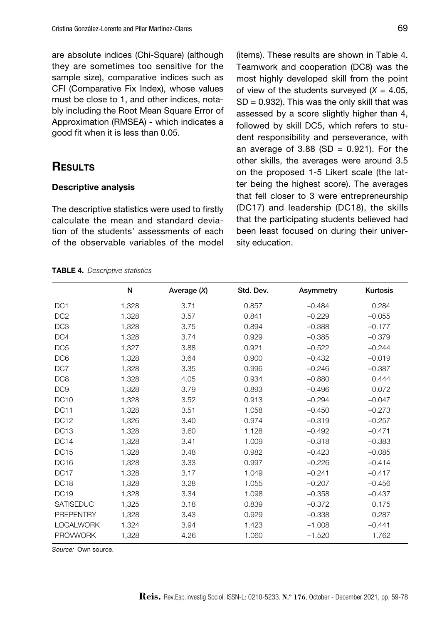are absolute indices (Chi-Square) (although they are sometimes too sensitive for the sample size), comparative indices such as CFI (Comparative Fix Index), whose values must be close to 1, and other indices, notably including the Root Mean Square Error of Approximation (RMSEA) - which indicates a good fit when it is less than 0.05.

# **RESULTS**

#### Descriptive analysis

The descriptive statistics were used to firstly calculate the mean and standard deviation of the students' assessments of each of the observable variables of the model (items). These results are shown in Table 4. Teamwork and cooperation (DC8) was the most highly developed skill from the point of view of the students surveyed  $(X = 4.05$ ,  $SD = 0.932$ ). This was the only skill that was assessed by a score slightly higher than 4, followed by skill DC5, which refers to student responsibility and perseverance, with an average of 3.88 (SD =  $0.921$ ). For the other skills, the averages were around 3.5 on the proposed 1-5 Likert scale (the latter being the highest score). The averages that fell closer to 3 were entrepreneurship (DC17) and leadership (DC18), the skills that the participating students believed had been least focused on during their university education.

|                  | N     | Average $(X)$ | Std. Dev. | Asymmetry | Kurtosis |
|------------------|-------|---------------|-----------|-----------|----------|
| DC <sub>1</sub>  | 1,328 | 3.71          | 0.857     | $-0.484$  | 0.284    |
| DC <sub>2</sub>  | 1,328 | 3.57          | 0.841     | $-0.229$  | $-0.055$ |
| DC <sub>3</sub>  | 1,328 | 3.75          | 0.894     | $-0.388$  | $-0.177$ |
| DC4              | 1,328 | 3.74          | 0.929     | $-0.385$  | $-0.379$ |
| DC <sub>5</sub>  | 1,327 | 3.88          | 0.921     | $-0.522$  | $-0.244$ |
| DC <sub>6</sub>  | 1,328 | 3.64          | 0.900     | $-0.432$  | $-0.019$ |
| DC7              | 1,328 | 3.35          | 0.996     | $-0.246$  | $-0.387$ |
| DC <sub>8</sub>  | 1,328 | 4.05          | 0.934     | $-0.880$  | 0.444    |
| DC <sub>9</sub>  | 1,328 | 3.79          | 0.893     | $-0.496$  | 0.072    |
| DC <sub>10</sub> | 1,328 | 3.52          | 0.913     | $-0.294$  | $-0.047$ |
| <b>DC11</b>      | 1,328 | 3.51          | 1.058     | $-0.450$  | $-0.273$ |
| DC <sub>12</sub> | 1,326 | 3.40          | 0.974     | $-0.319$  | $-0.257$ |
| DC <sub>13</sub> | 1,328 | 3.60          | 1.128     | $-0.492$  | $-0.471$ |
| DC <sub>14</sub> | 1,328 | 3.41          | 1.009     | $-0.318$  | $-0.383$ |
| <b>DC15</b>      | 1,328 | 3.48          | 0.982     | $-0.423$  | $-0.085$ |
| DC <sub>16</sub> | 1,328 | 3.33          | 0.997     | $-0.226$  | $-0.414$ |
| DC <sub>17</sub> | 1,328 | 3.17          | 1.049     | $-0.241$  | $-0.417$ |
| DC <sub>18</sub> | 1,328 | 3.28          | 1.055     | $-0.207$  | $-0.456$ |
| <b>DC19</b>      | 1,328 | 3.34          | 1.098     | $-0.358$  | $-0.437$ |
| <b>SATISEDUC</b> | 1,325 | 3.18          | 0.839     | $-0.372$  | 0.175    |
| <b>PREPENTRY</b> | 1,328 | 3.43          | 0.929     | $-0.338$  | 0.287    |
| <b>LOCALWORK</b> | 1,324 | 3.94          | 1.423     | $-1.008$  | $-0.441$ |
| <b>PROVWORK</b>  | 1.328 | 4.26          | 1.060     | $-1.520$  | 1.762    |

|  | <b>TABLE 4.</b> Descriptive statistics |  |
|--|----------------------------------------|--|
|--|----------------------------------------|--|

*Source:* Own source.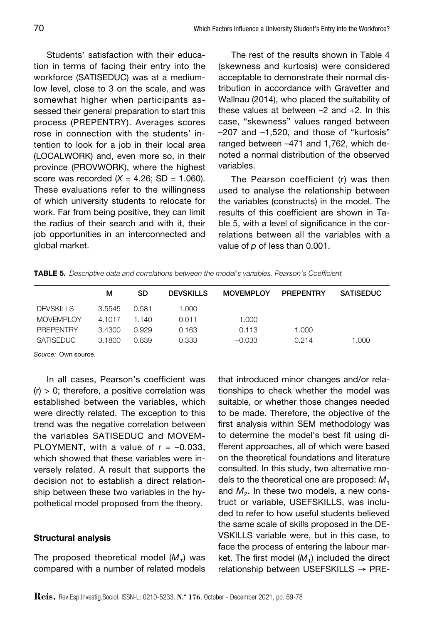Students' satisfaction with their education in terms of facing their entry into the workforce (SATISEDUC) was at a mediumlow level, close to 3 on the scale, and was somewhat higher when participants assessed their general preparation to start this process (PREPENTRY). Averages scores rose in connection with the students' intention to look for a job in their local area (LOCALWORK) and, even more so, in their province (PROVWORK), where the highest score was recorded  $(X = 4.26; SD = 1.060)$ . These evaluations refer to the willingness of which university students to relocate for work. Far from being positive, they can limit the radius of their search and with it, their job opportunities in an interconnected and global market.

The rest of the results shown in Table 4 (skewness and kurtosis) were considered acceptable to demonstrate their normal distribution in accordance with Gravetter and Wallnau (2014), who placed the suitability of these values at between –2 and +2. In this case, "skewness" values ranged between –207 and –1,520, and those of "kurtosis" ranged between –471 and 1,762, which denoted a normal distribution of the observed variables.

The Pearson coefficient (r) was then used to analyse the relationship between the variables (constructs) in the model. The results of this coefficient are shown in Table 5, with a level of significance in the correlations between all the variables with a value of *p* of less than 0.001.

|                  | м      | SD    | <b>DEVSKILLS</b> | <b>MOVEMPLOY</b> | <b>PREPENTRY</b> | <b>SATISEDUC</b> |
|------------------|--------|-------|------------------|------------------|------------------|------------------|
| <b>DEVSKILLS</b> | 3.5545 | 0.581 | 1.000            |                  |                  |                  |
| <b>MOVEMPLOY</b> | 4.1017 | 1.140 | 0.011            | 1.000            |                  |                  |
| <b>PREPENTRY</b> | 3.4300 | 0.929 | 0.163            | 0.113            | 1.000            |                  |
| <b>SATISEDUC</b> | 3.1800 | 0.839 | 0.333            | $-0.033$         | 0.214            | 1.000            |

*Source:* Own source.

In all cases, Pearson's coefficient was  $(r)$  > 0; therefore, a positive correlation was established between the variables, which were directly related. The exception to this trend was the negative correlation between the variables SATISEDUC and MOVEM-PLOYMENT, with a value of  $r = -0.033$ , which showed that these variables were inversely related. A result that supports the decision not to establish a direct relationship between these two variables in the hypothetical model proposed from the theory.

#### Structural analysis

The proposed theoretical model  $(M_T)$  was compared with a number of related models that introduced minor changes and/or relationships to check whether the model was suitable, or whether those changes needed to be made. Therefore, the objective of the first analysis within SEM methodology was to determine the model's best fit using different approaches, all of which were based on the theoretical foundations and literature consulted. In this study, two alternative models to the theoretical one are proposed:  $M_1$ and  $M<sub>2</sub>$ . In these two models, a new construct or variable, USEFSKILLS, was included to refer to how useful students believed the same scale of skills proposed in the DE-VSKILLS variable were, but in this case, to face the process of entering the labour market. The first model  $(M_1)$  included the direct relationship between USEFSKILLS → PRE-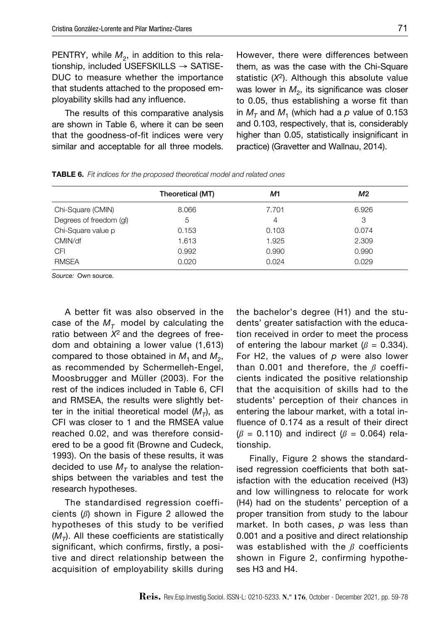PENTRY, while  $M_2$ , in addition to this relationship, included USEFSKILLS → SATISE-DUC to measure whether the importance that students attached to the proposed employability skills had any influence.

The results of this comparative analysis are shown in Table 6, where it can be seen that the goodness-of-fit indices were very similar and acceptable for all three models.

However, there were differences between them, as was the case with the Chi-Square statistic (*X*2). Although this absolute value was lower in  $M<sub>2</sub>$ , its significance was closer to 0.05, thus establishing a worse fit than in  $M<sub>T</sub>$  and  $M<sub>1</sub>$  (which had a p value of 0.153 and 0.103, respectively, that is, considerably higher than 0.05, statistically insignificant in practice) (Gravetter and Wallnau, 2014).

|  |  | <b>TABLE 6.</b> Fit indices for the proposed theoretical model and related ones |  |  |  |
|--|--|---------------------------------------------------------------------------------|--|--|--|
|--|--|---------------------------------------------------------------------------------|--|--|--|

|                         | Theoretical (MT) | M1    | M2    |
|-------------------------|------------------|-------|-------|
| Chi-Square (CMIN)       | 8.066            | 7.701 | 6.926 |
| Degrees of freedom (gl) | 5                | 4     | 3     |
| Chi-Square value p      | 0.153            | 0.103 | 0.074 |
| CMIN/df                 | 1.613            | 1.925 | 2.309 |
| <b>CFI</b>              | 0.992            | 0.990 | 0.990 |
| <b>RMSEA</b>            | 0.020            | 0.024 | 0.029 |

*Source:* Own source.

A better fit was also observed in the case of the  $M<sub>\tau</sub>$  model by calculating the ratio between *X*2 and the degrees of freedom and obtaining a lower value (1,613) compared to those obtained in  $M_1$  and  $M_2$ , as recommended by Schermelleh-Engel, Moosbrugger and Müller (2003). For the rest of the indices included in Table 6, CFI and RMSEA, the results were slightly better in the initial theoretical model  $(M_T)$ , as CFI was closer to 1 and the RMSEA value reached 0.02, and was therefore considered to be a good fit (Browne and Cudeck, 1993). On the basis of these results, it was decided to use  $M<sub>T</sub>$  to analyse the relationships between the variables and test the research hypotheses.

The standardised regression coefficients (*ß*) shown in Figure 2 allowed the hypotheses of this study to be verified  $(M<sub>T</sub>)$ . All these coefficients are statistically significant, which confirms, firstly, a positive and direct relationship between the acquisition of employability skills during the bachelor's degree (H1) and the students' greater satisfaction with the education received in order to meet the process of entering the labour market  $(\beta = 0.334)$ . For H2, the values of *p* were also lower than 0.001 and therefore, the *ß* coefficients indicated the positive relationship that the acquisition of skills had to the students' perception of their chances in entering the labour market, with a total influence of 0.174 as a result of their direct  $(\beta = 0.110)$  and indirect ( $\beta = 0.064$ ) relationship.

Finally, Figure 2 shows the standardised regression coefficients that both satisfaction with the education received (H3) and low willingness to relocate for work (H4) had on the students' perception of a proper transition from study to the labour market. In both cases, *p* was less than 0.001 and a positive and direct relationship was established with the *ß* coefficients shown in Figure 2, confirming hypotheses H3 and H4.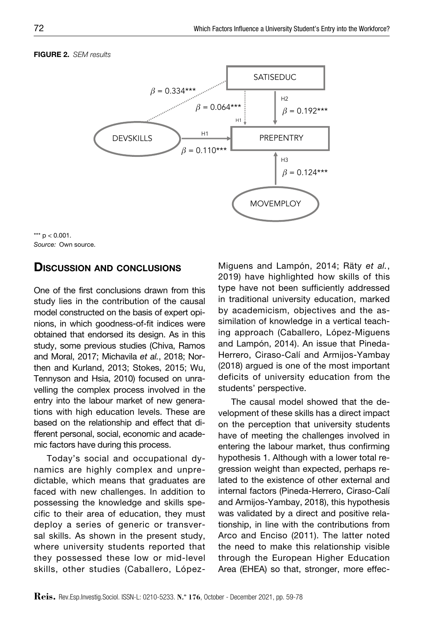#### Figure 2. *SEM results*





## Discussion and conclusions

One of the first conclusions drawn from this study lies in the contribution of the causal model constructed on the basis of expert opinions, in which goodness-of-fit indices were obtained that endorsed its design. As in this study, some previous studies (Chiva, Ramos and Moral, 2017; Michavila *et al.*, 2018; Northen and Kurland, 2013; Stokes, 2015; Wu, Tennyson and Hsia, 2010) focused on unravelling the complex process involved in the entry into the labour market of new generations with high education levels. These are based on the relationship and effect that different personal, social, economic and academic factors have during this process.

Today's social and occupational dynamics are highly complex and unpredictable, which means that graduates are faced with new challenges. In addition to possessing the knowledge and skills specific to their area of education, they must deploy a series of generic or transversal skills. As shown in the present study, where university students reported that they possessed these low or mid-level skills, other studies (Caballero, LópezMiguens and Lampón, 2014; Räty *et al.*, 2019) have highlighted how skills of this type have not been sufficiently addressed in traditional university education, marked by academicism, objectives and the assimilation of knowledge in a vertical teaching approach (Caballero, López-Miguens and Lampón, 2014). An issue that Pineda-Herrero, Ciraso-Calí and Armijos-Yambay (2018) argued is one of the most important deficits of university education from the students' perspective.

The causal model showed that the development of these skills has a direct impact on the perception that university students have of meeting the challenges involved in entering the labour market, thus confirming hypothesis 1. Although with a lower total regression weight than expected, perhaps related to the existence of other external and internal factors (Pineda-Herrero, Ciraso-Calí and Armijos-Yambay, 2018), this hypothesis was validated by a direct and positive relationship, in line with the contributions from Arco and Enciso (2011). The latter noted the need to make this relationship visible through the European Higher Education Area (EHEA) so that, stronger, more effec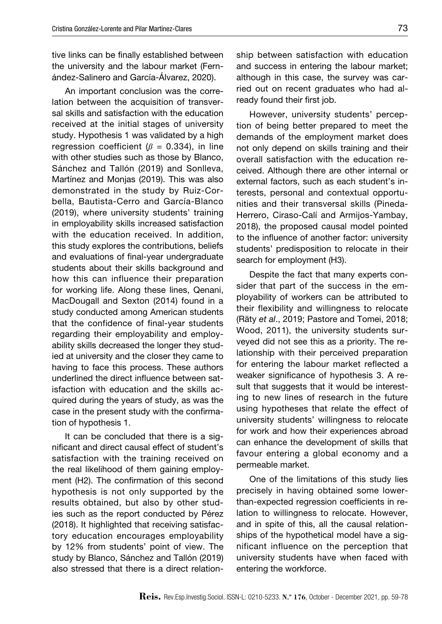tive links can be finally established between the university and the labour market (Fernández-Salinero and García-Álvarez, 2020).

An important conclusion was the correlation between the acquisition of transversal skills and satisfaction with the education received at the initial stages of university study. Hypothesis 1 was validated by a high regression coefficient ( $\beta$  = 0.334), in line with other studies such as those by Blanco. Sánchez and Tallón (2019) and Sonlleva, Martínez and Monjas (2019). This was also demonstrated in the study by Ruiz-Corbella, Bautista-Cerro and García-Blanco (2019), where university students' training in employability skills increased satisfaction with the education received. In addition, this study explores the contributions, beliefs and evaluations of final-year undergraduate students about their skills background and how this can influence their preparation for working life. Along these lines, Qenani, MacDougall and Sexton (2014) found in a study conducted among American students that the confidence of final-year students regarding their employability and employability skills decreased the longer they studied at university and the closer they came to having to face this process. These authors underlined the direct influence between satisfaction with education and the skills acquired during the years of study, as was the case in the present study with the confirmation of hypothesis 1.

It can be concluded that there is a significant and direct causal effect of student's satisfaction with the training received on the real likelihood of them gaining employment (H2). The confirmation of this second hypothesis is not only supported by the results obtained, but also by other studies such as the report conducted by Pérez (2018). It highlighted that receiving satisfactory education encourages employability by 12% from students' point of view. The study by Blanco, Sánchez and Tallón (2019) also stressed that there is a direct relationship between satisfaction with education and success in entering the labour market; although in this case, the survey was carried out on recent graduates who had already found their first job.

However, university students' perception of being better prepared to meet the demands of the employment market does not only depend on skills training and their overall satisfaction with the education received. Although there are other internal or external factors, such as each student's interests, personal and contextual opportunities and their transversal skills (Pineda-Herrero, Ciraso-Calí and Armijos-Yambay, 2018), the proposed causal model pointed to the influence of another factor: university students' predisposition to relocate in their search for employment (H3).

Despite the fact that many experts consider that part of the success in the employability of workers can be attributed to their flexibility and willingness to relocate (Räty *et al*., 2019; Pastore and Tomei, 2018; Wood, 2011), the university students surveyed did not see this as a priority. The relationship with their perceived preparation for entering the labour market reflected a weaker significance of hypothesis 3. A result that suggests that it would be interesting to new lines of research in the future using hypotheses that relate the effect of university students' willingness to relocate for work and how their experiences abroad can enhance the development of skills that favour entering a global economy and a permeable market.

One of the limitations of this study lies precisely in having obtained some lowerthan-expected regression coefficients in relation to willingness to relocate. However, and in spite of this, all the causal relationships of the hypothetical model have a significant influence on the perception that university students have when faced with entering the workforce.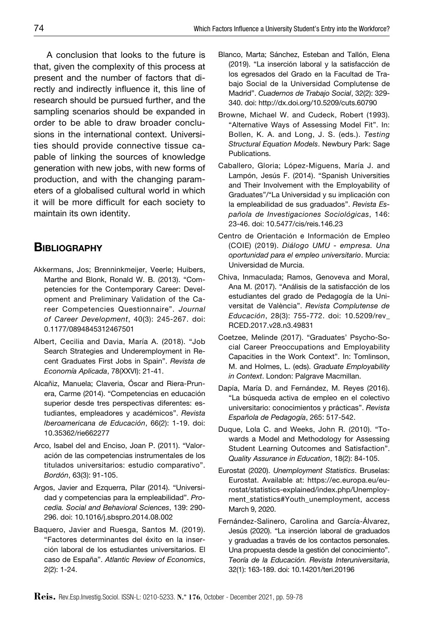A conclusion that looks to the future is that, given the complexity of this process at present and the number of factors that directly and indirectly influence it, this line of research should be pursued further, and the sampling scenarios should be expanded in order to be able to draw broader conclusions in the international context. Universities should provide connective tissue capable of linking the sources of knowledge generation with new jobs, with new forms of production, and with the changing parameters of a globalised cultural world in which it will be more difficult for each society to maintain its own identity.

# **BIBLIOGRAPHY**

- Akkermans, Jos; Brenninkmeijer, Veerle; Huibers, Marthe and Blonk, Ronald W. B. (2013). "Competencies for the Contemporary Career: Development and Preliminary Validation of the Career Competencies Questionnaire". *Journal of Career Development*, 40(3): 245-267. doi: 0.1177/0894845312467501
- Albert, Cecilia and Davia, María A. (2018). "Job Search Strategies and Underemployment in Recent Graduates First Jobs in Spain". *Revista de Economía Aplicada*, 78(XXVI): 21-41.
- Alcañiz, Manuela; Claveria, Óscar and Riera-Prunera, Carme (2014). "Competencias en educación superior desde tres perspectivas diferentes: estudiantes, empleadores y académicos". *Revista Iberoamericana de Educación*, 66(2): 1-19. doi: 10.35362/rie662277
- Arco, Isabel del and Enciso, Joan P. (2011). "Valoración de las competencias instrumentales de los titulados universitarios: estudio comparativo". *Bordón*, 63(3): 91-105.
- Argos, Javier and Ezquerra, Pilar (2014). "Universidad y competencias para la empleabilidad". *Procedia. Social and Behavioral Sciences*, 139: 290- 296. doi: 10.1016/j.sbspro.2014.08.002
- Baquero, Javier and Ruesga, Santos M. (2019). "Factores determinantes del éxito en la inserción laboral de los estudiantes universitarios. El caso de España". *Atlantic Review of Economics*, 2(2): 1-24.
- Blanco, Marta; Sánchez, Esteban and Tallón, Elena (2019). "La inserción laboral y la satisfacción de los egresados del Grado en la Facultad de Trabajo Social de la Universidad Complutense de Madrid". *Cuadernos de Trabajo Social*, 32(2): 329- 340. doi: http://dx.doi.org/10.5209/cuts.60790
- Browne, Michael W. and Cudeck, Robert (1993). "Alternative Ways of Assessing Model Fit". In: Bollen, K. A. and Long, J. S. (eds.). *Testing Structural Equation Models*. Newbury Park: Sage Publications.
- Caballero, Gloria; López-Miguens, María J. and Lampón, Jesús F. (2014). "Spanish Universities and Their Involvement with the Employability of Graduates"/"La Universidad y su implicación con la empleabilidad de sus graduados". *Revista Española de Investigaciones Sociológicas*, 146: 23-46. doi: 10.5477/cis/reis.146.23
- Centro de Orientación e Información de Empleo (COIE) (2019). *Diálogo UMU - empresa. Una oportunidad para el empleo universitario*. Murcia: Universidad de Murcia.
- Chiva, Inmaculada; Ramos, Genoveva and Moral, Ana M. (2017). "Análisis de la satisfacción de los estudiantes del grado de Pedagogía de la Universitat de València". *Revista Complutense de Educación*, 28(3): 755-772. doi: 10.5209/rev\_ RCED.2017.v28.n3.49831
- Coetzee, Melinde (2017). "Graduates' Psycho-Social Career Preoccupations and Employability Capacities in the Work Context". In: Tomlinson, M. and Holmes, L. (eds). *Graduate Employability in Context*. London: Palgrave Macmillan.
- Dapía, María D. and Fernández, M. Reyes (2016). "La búsqueda activa de empleo en el colectivo universitario: conocimientos y prácticas". *Revista Española de Pedagogía*, 265: 517-542.
- Duque, Lola C. and Weeks, John R. (2010). "Towards a Model and Methodology for Assessing Student Learning Outcomes and Satisfaction". *Quality Assurance in Education*, 18(2): 84-105.
- Eurostat (2020). *Unemployment Statistics*. Bruselas: Eurostat. Available at: https://ec.europa.eu/eurostat/statistics-explained/index.php/Unemployment\_statistics#Youth\_unemployment, access March 9, 2020.
- Fernández-Salinero, Carolina and García-Álvarez, Jesús (2020). "La inserción laboral de graduados y graduadas a través de los contactos personales. Una propuesta desde la gestión del conocimiento". *Teoría de la Educación. Revista Interuniversitaria*, 32(1): 163-189. doi: 10.14201/teri.20196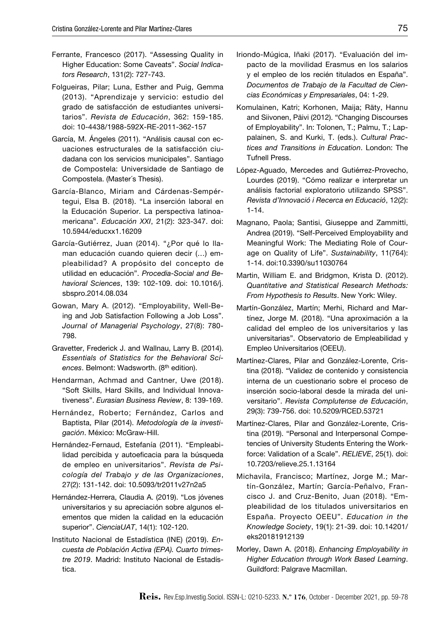- Ferrante, Francesco (2017). "Assessing Quality in Higher Education: Some Caveats". *Social Indicators Research*, 131(2): 727-743.
- Folgueiras, Pilar; Luna, Esther and Puig, Gemma (2013). "Aprendizaje y servicio: estudio del grado de satisfacción de estudiantes universitarios". *Revista de Educación*, 362: 159-185. doi: 10-4438/1988-592X-RE-2011-362-157
- García, M. Ángeles (2011). "Análisis causal con ecuaciones estructurales de la satisfacción ciudadana con los servicios municipales". Santiago de Compostela: Universidade de Santiago de Compostela. (Master´s Thesis).
- García-Blanco, Miriam and Cárdenas-Sempértegui, Elsa B. (2018). "La inserción laboral en la Educación Superior. La perspectiva latinoamericana". *Educación XXI*, 21(2): 323-347. doi: 10.5944/educxx1.16209
- García-Gutiérrez, Juan (2014). "¿Por qué lo llaman educación cuando quieren decir (…) empleabilidad? A propósito del concepto de utilidad en educación". *Procedia-Social and Behavioral Sciences*, 139: 102-109. doi: 10.1016/j. sbspro.2014.08.034
- Gowan, Mary A. (2012). "Employability, Well-Being and Job Satisfaction Following a Job Loss". *Journal of Managerial Psychology*, 27(8): 780- 798.
- Gravetter, Frederick J. and Wallnau, Larry B. (2014). *Essentials of Statistics for the Behavioral Sciences*. Belmont: Wadsworth. (8th edition).
- Hendarman, Achmad and Cantner, Uwe (2018). "Soft Skills, Hard Skills, and Individual Innovativeness". *Eurasian Business Review*, 8: 139-169.
- Hernández, Roberto; Fernández, Carlos and Baptista, Pilar (2014). *Metodología de la investigación*. México: McGraw-Hill.
- Hernández-Fernaud, Estefanía (2011). "Empleabilidad percibida y autoeficacia para la búsqueda de empleo en universitarios". *Revista de Psicología del Trabajo y de las Organizaciones*, 27(2): 131-142. doi: 10.5093/tr2011v27n2a5
- Hernández-Herrera, Claudia A. (2019). "Los jóvenes universitarios y su apreciación sobre algunos elementos que miden la calidad en la educación superior". *CienciaUAT*, 14(1): 102-120.
- Instituto Nacional de Estadística (INE) (2019). *Encuesta de Población Activa (EPA). Cuarto trimestre 2019*. Madrid: Instituto Nacional de Estadística.
- Iriondo-Múgica, Iñaki (2017). "Evaluación del impacto de la movilidad Erasmus en los salarios y el empleo de los recién titulados en España". *Documentos de Trabajo de la Facultad de Ciencias Económicas y Empresariales*, 04: 1-29.
- Komulainen, Katri; Korhonen, Maija; Räty, Hannu and Siivonen, Päivi (2012). "Changing Discourses of Employability". In: Tolonen, T.; Palmu, T.; Lappalainen, S. and Kurki, T. (eds.). *Cultural Practices and Transitions in Education*. London: The Tufnell Press.
- López-Aguado, Mercedes and Gutiérrez-Provecho, Lourdes (2019). "Cómo realizar e interpretar un análisis factorial exploratorio utilizando SPSS". *Revista d'Innovació i Recerca en Educació*, 12(2): 1-14.
- Magnano, Paola; Santisi, Giuseppe and Zammitti, Andrea (2019). "Self-Perceived Employability and Meaningful Work: The Mediating Role of Courage on Quality of Life". *Sustainability*, 11(764): 1-14. doi:10.3390/su11030764
- Martin, William E. and Bridgmon, Krista D. (2012). *Quantitative and Statistical Research Methods: From Hypothesis to Results*. New York: Wiley.
- Martín-González, Martín; Merhi, Richard and Martínez, Jorge M. (2018). "Una aproximación a la calidad del empleo de los universitarios y las universitarias". Observatorio de Empleabilidad y Empleo Universitarios (OEEU).
- Martínez-Clares, Pilar and González-Lorente, Cristina (2018). "Validez de contenido y consistencia interna de un cuestionario sobre el proceso de inserción socio-laboral desde la mirada del universitario". *Revista Complutense de Educación*, 29(3): 739-756. doi: 10.5209/RCED.53721
- Martínez-Clares, Pilar and González-Lorente, Cristina (2019). "Personal and Interpersonal Competencies of University Students Entering the Workforce: Validation of a Scale". *RELIEVE*, 25(1). doi: 10.7203/relieve.25.1.13164
- Michavila, Francisco; Martínez, Jorge M.; Martín-González, Martín; García-Peñalvo, Francisco J. and Cruz-Benito, Juan (2018). "Empleabilidad de los titulados universitarios en España. Proyecto OEEU". *Education in the Knowledge Society*, 19(1): 21-39. doi: 10.14201/ eks20181912139
- Morley, Dawn A. (2018). *Enhancing Employability in Higher Education through Work Based Learning*. Guildford: Palgrave Macmillan.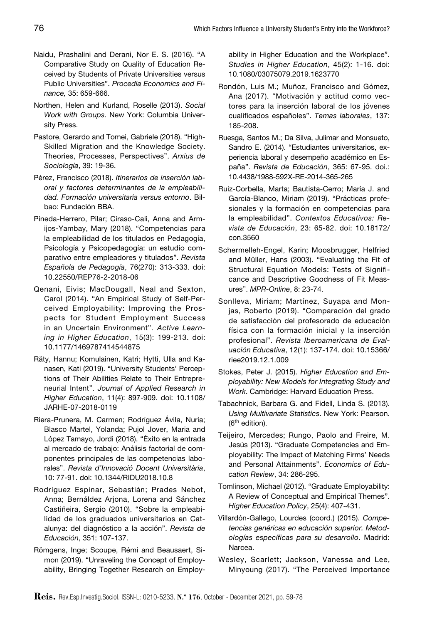- Naidu, Prashalini and Derani, Nor E. S. (2016). "A Comparative Study on Quality of Education Received by Students of Private Universities versus Public Universities". *Procedia Economics and Finance,* 35: 659-666.
- Northen, Helen and Kurland, Roselle (2013). *Social Work with Groups*. New York: Columbia University Press.
- Pastore, Gerardo and Tomei, Gabriele (2018). "High-Skilled Migration and the Knowledge Society. Theories, Processes, Perspectives". *Arxius de Sociología*, 39: 19-36.
- Pérez, Francisco (2018). *Itinerarios de inserción laboral y factores determinantes de la empleabilidad. Formación universitaria versus entorno*. Bilbao: Fundación BBA.
- Pineda-Herrero, Pilar; Ciraso-Cali, Anna and Armijos-Yambay, Mary (2018). "Competencias para la empleabilidad de los titulados en Pedagogía, Psicología y Psicopedagogía: un estudio comparativo entre empleadores y titulados". *Revista Española de Pedagogía*, 76(270): 313-333. doi: 10.22550/REP76-2-2018-06
- Qenani, Eivis; MacDougall, Neal and Sexton, Carol (2014). "An Empirical Study of Self-Perceived Employability: Improving the Prospects for Student Employment Success in an Uncertain Environment". *Active Learning in Higher Education*, 15(3): 199-213. doi: 10.1177/1469787414544875
- Räty, Hannu; Komulainen, Katri; Hytti, Ulla and Kanasen, Kati (2019). "University Students' Perceptions of Their Abilities Relate to Their Entrepreneurial Intent". *Journal of Applied Research in Higher Education*, 11(4): 897-909. doi: 10.1108/ JARHE-07-2018-0119
- Riera-Prunera, M. Carmen; Rodríguez Ávila, Nuria; Blasco Martel, Yolanda; Pujol Jover, Maria and López Tamayo, Jordi (2018). "Éxito en la entrada al mercado de trabajo: Análisis factorial de componentes principales de las competencias laborales". *Revista d'Innovació Docent Universitària*, 10: 77-91. doi: 10.1344/RIDU2018.10.8
- Rodríguez Espinar, Sebastián; Prades Nebot, Anna; Bernáldez Arjona, Lorena and Sánchez Castiñeira, Sergio (2010). "Sobre la empleabilidad de los graduados universitarios en Catalunya: del diagnóstico a la acción". *Revista de Educación*, 351: 107-137.
- Römgens, Inge; Scoupe, Rémi and Beausaert, Simon (2019). "Unraveling the Concept of Employability, Bringing Together Research on Employ-

ability in Higher Education and the Workplace". *Studies in Higher Education*, 45(2): 1-16. doi: 10.1080/03075079.2019.1623770

- Rondón, Luis M.; Muñoz, Francisco and Gómez, Ana (2017). "Motivación y actitud como vectores para la inserción laboral de los jóvenes cualificados españoles". *Temas laborales*, 137: 185-208.
- Ruesga, Santos M.; Da Silva, Julimar and Monsueto, Sandro E. (2014). "Estudiantes universitarios, experiencia laboral y desempeño académico en España". *Revista de Educación*, 365: 67-95. doi.: 10.4438/1988-592X-RE-2014-365-265
- Ruiz-Corbella, Marta; Bautista-Cerro; María J. and García-Blanco, Miriam (2019). "Prácticas profesionales y la formación en competencias para la empleabilidad". *Contextos Educativos: Revista de Educación*, 23: 65-82. doi: 10.18172/ con.3560
- Schermelleh-Engel, Karin; Moosbrugger, Helfried and Müller, Hans (2003). "Evaluating the Fit of Structural Equation Models: Tests of Significance and Descriptive Goodness of Fit Measures". *MPR-Online*, 8: 23-74.
- Sonlleva, Miriam; Martínez, Suyapa and Monjas, Roberto (2019). "Comparación del grado de satisfacción del profesorado de educación física con la formación inicial y la inserción profesional". *Revista Iberoamericana de Evaluación Educativa*, 12(1): 137-174. doi: 10.15366/ riee2019.12.1.009
- Stokes, Peter J. (2015). *Higher Education and Employability: New Models for Integrating Study and Work*. Cambridge: Harvard Education Press.
- Tabachnick, Barbara G. and Fidell, Linda S. (2013). *Using Multivariate Statistics*. New York: Pearson. (6th edition).
- Teijeiro, Mercedes; Rungo, Paolo and Freire, M. Jesús (2013). "Graduate Competencies and Employability: The Impact of Matching Firms' Needs and Personal Attainments". *Economics of Education Review*, 34: 286-295.
- Tomlinson, Michael (2012). "Graduate Employability: A Review of Conceptual and Empirical Themes". *Higher Education Policy*, 25(4): 407-431.
- Villardón-Gallego, Lourdes (coord.) (2015). *Competencias genéricas en educación superior. Metodologías específicas para su desarrollo*. Madrid: Narcea.
- Wesley, Scarlett; Jackson, Vanessa and Lee, Minyoung (2017). "The Perceived Importance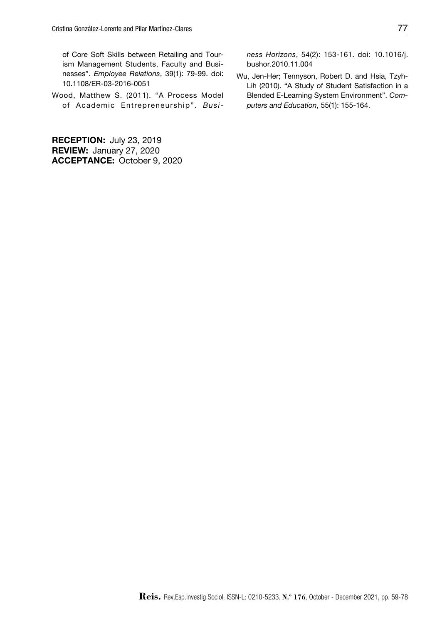of Core Soft Skills between Retailing and Tourism Management Students, Faculty and Businesses". *Employee Relations*, 39(1): 79-99. doi: 10.1108/ER-03-2016-0051

Wood, Matthew S. (2011). "A Process Model of Academic Entrepreneurship". *Busi-*

RECEPTION: July 23, 2019 REVIEW: January 27, 2020 ACCEPTANCE: October 9, 2020 *ness Horizons*, 54(2): 153-161. doi: 10.1016/j. bushor.2010.11.004

Wu, Jen-Her; Tennyson, Robert D. and Hsia, Tzyh-Lih (2010). "A Study of Student Satisfaction in a Blended E-Learning System Environment". *Computers and Education*, 55(1): 155-164.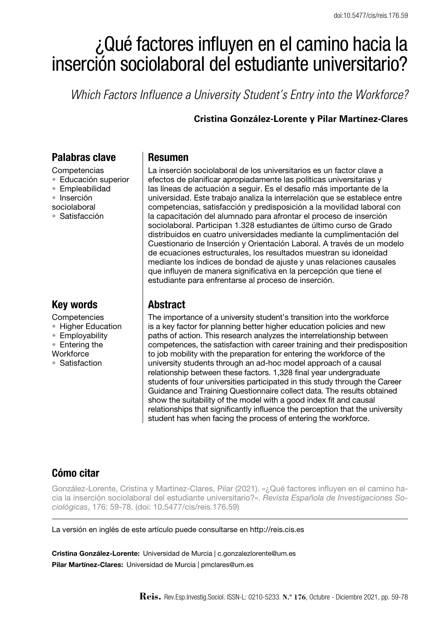# ¿Qué factores influyen en el camino hacia la inserción sociolaboral del estudiante universitario?

*Which Factors Influence a University Student's Entry into the Workforce?*

## **Cristina González-Lorente y Pilar Martínez-Clares**

# Palabras clave

- **Competencias**
- • Educación superior
- • Empleabilidad
- • Inserción
- sociolaboral
- • Satisfacción

# Key words

- **Competencies**
- Higher Education
- • Employability
- Entering the
- **Workforce**
- • Satisfaction

## Resumen

La inserción sociolaboral de los universitarios es un factor clave a efectos de planificar apropiadamente las políticas universitarias y las líneas de actuación a seguir. Es el desafío más importante de la universidad. Este trabajo analiza la interrelación que se establece entre competencias, satisfacción y predisposición a la movilidad laboral con la capacitación del alumnado para afrontar el proceso de inserción sociolaboral. Participan 1.328 estudiantes de último curso de Grado distribuidos en cuatro universidades mediante la cumplimentación del Cuestionario de Inserción y Orientación Laboral. A través de un modelo de ecuaciones estructurales, los resultados muestran su idoneidad mediante los índices de bondad de ajuste y unas relaciones causales que influyen de manera significativa en la percepción que tiene el estudiante para enfrentarse al proceso de inserción.

# **Abstract**

The importance of a university student's transition into the workforce is a key factor for planning better higher education policies and new paths of action. This research analyzes the interrelationship between competences, the satisfaction with career training and their predisposition to job mobility with the preparation for entering the workforce of the university students through an ad-hoc model approach of a causal relationship between these factors. 1,328 final year undergraduate students of four universities participated in this study through the Career Guidance and Training Questionnaire collect data. The results obtained show the suitability of the model with a good index fit and causal relationships that significantly influence the perception that the university student has when facing the process of entering the workforce.

# Cómo citar

González-Lorente, Cristina y Martínez-Clares, Pilar (2021). «¿Qué factores influyen en el camino hacia la inserción sociolaboral del estudiante universitario?». *Revista Española de Investigaciones Sociológicas*, 176: 59-78. (doi: 10.5477/cis/reis.176.59)

La versión en inglés de este artículo puede consultarse en http://reis.cis.es

Cristina González-Lorente: Universidad de Murcia | c.gonzalezlorente@um.es Pilar Martínez-Clares: Universidad de Murcia | pmclares@um.es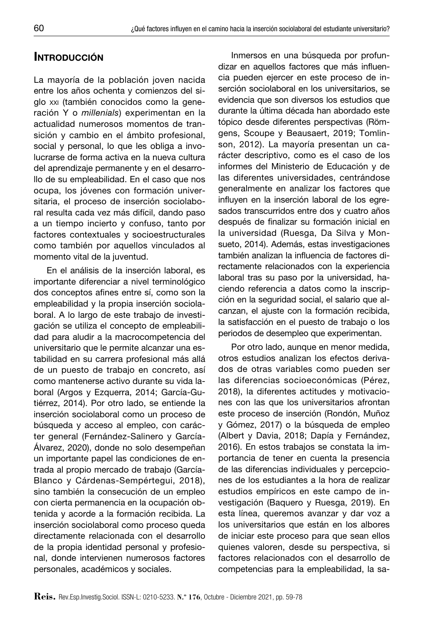# **INTRODUCCIÓN**

La mayoría de la población joven nacida entre los años ochenta y comienzos del siglo xxi (también conocidos como la generación Y o *millenials*) experimentan en la actualidad numerosos momentos de transición y cambio en el ámbito profesional, social y personal, lo que les obliga a involucrarse de forma activa en la nueva cultura del aprendizaje permanente y en el desarrollo de su empleabilidad. En el caso que nos ocupa, los jóvenes con formación universitaria, el proceso de inserción sociolaboral resulta cada vez más difícil, dando paso a un tiempo incierto y confuso, tanto por factores contextuales y socioestructurales como también por aquellos vinculados al momento vital de la juventud.

En el análisis de la inserción laboral, es importante diferenciar a nivel terminológico dos conceptos afines entre sí, como son la empleabilidad y la propia inserción sociolaboral. A lo largo de este trabajo de investigación se utiliza el concepto de empleabilidad para aludir a la macrocompetencia del universitario que le permite alcanzar una estabilidad en su carrera profesional más allá de un puesto de trabajo en concreto, así como mantenerse activo durante su vida laboral (Argos y Ezquerra, 2014; García-Gutiérrez, 2014). Por otro lado, se entiende la inserción sociolaboral como un proceso de búsqueda y acceso al empleo, con carácter general (Fernández-Salinero y García-Álvarez, 2020), donde no solo desempeñan un importante papel las condiciones de entrada al propio mercado de trabajo (García-Blanco y Cárdenas-Sempértegui, 2018), sino también la consecución de un empleo con cierta permanencia en la ocupación obtenida y acorde a la formación recibida. La inserción sociolaboral como proceso queda directamente relacionada con el desarrollo de la propia identidad personal y profesional, donde intervienen numerosos factores personales, académicos y sociales.

Inmersos en una búsqueda por profundizar en aquellos factores que más influencia pueden ejercer en este proceso de inserción sociolaboral en los universitarios, se evidencia que son diversos los estudios que durante la última década han abordado este tópico desde diferentes perspectivas (Römgens, Scoupe y Beausaert, 2019; Tomlinson, 2012). La mayoría presentan un carácter descriptivo, como es el caso de los informes del Ministerio de Educación y de las diferentes universidades, centrándose generalmente en analizar los factores que influyen en la inserción laboral de los egresados transcurridos entre dos y cuatro años después de finalizar su formación inicial en la universidad (Ruesga, Da Silva y Monsueto, 2014). Además, estas investigaciones también analizan la influencia de factores directamente relacionados con la experiencia laboral tras su paso por la universidad, haciendo referencia a datos como la inscripción en la seguridad social, el salario que alcanzan, el ajuste con la formación recibida, la satisfacción en el puesto de trabajo o los periodos de desempleo que experimentan.

Por otro lado, aunque en menor medida, otros estudios analizan los efectos derivados de otras variables como pueden ser las diferencias socioeconómicas (Pérez, 2018), la diferentes actitudes y motivaciones con las que los universitarios afrontan este proceso de inserción (Rondón, Muñoz y Gómez, 2017) o la búsqueda de empleo (Albert y Davia, 2018; Dapía y Fernández, 2016). En estos trabajos se constata la importancia de tener en cuenta la presencia de las diferencias individuales y percepciones de los estudiantes a la hora de realizar estudios empíricos en este campo de investigación (Baquero y Ruesga, 2019). En esta línea, queremos avanzar y dar voz a los universitarios que están en los albores de iniciar este proceso para que sean ellos quienes valoren, desde su perspectiva, si factores relacionados con el desarrollo de competencias para la empleabilidad, la sa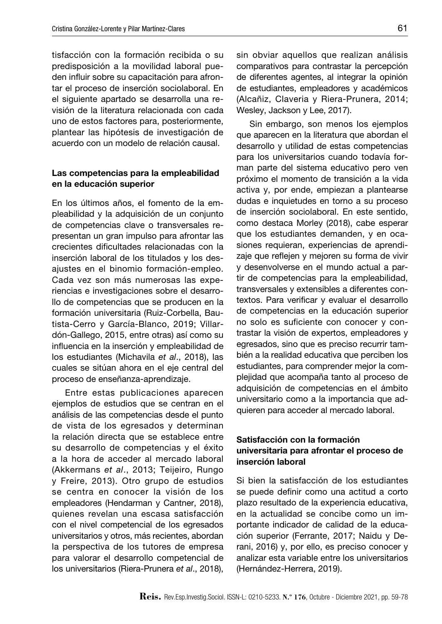tisfacción con la formación recibida o su predisposición a la movilidad laboral pueden influir sobre su capacitación para afrontar el proceso de inserción sociolaboral. En el siguiente apartado se desarrolla una revisión de la literatura relacionada con cada uno de estos factores para, posteriormente, plantear las hipótesis de investigación de acuerdo con un modelo de relación causal.

#### Las competencias para la empleabilidad en la educación superior

En los últimos años, el fomento de la empleabilidad y la adquisición de un conjunto de competencias clave o transversales representan un gran impulso para afrontar las crecientes dificultades relacionadas con la inserción laboral de los titulados y los desajustes en el binomio formación-empleo. Cada vez son más numerosas las experiencias e investigaciones sobre el desarrollo de competencias que se producen en la formación universitaria (Ruiz-Corbella, Bautista-Cerro y García-Blanco, 2019; Villardón-Gallego, 2015, entre otras) así como su influencia en la inserción y empleabilidad de los estudiantes (Michavila *et al*., 2018), las cuales se sitúan ahora en el eje central del proceso de enseñanza-aprendizaje.

Entre estas publicaciones aparecen ejemplos de estudios que se centran en el análisis de las competencias desde el punto de vista de los egresados y determinan la relación directa que se establece entre su desarrollo de competencias y el éxito a la hora de acceder al mercado laboral (Akkermans *et al*., 2013; Teijeiro, Rungo y Freire, 2013). Otro grupo de estudios se centra en conocer la visión de los empleadores (Hendarman y Cantner, 2018), quienes revelan una escasa satisfacción con el nivel competencial de los egresados universitarios y otros, más recientes, abordan la perspectiva de los tutores de empresa para valorar el desarrollo competencial de los universitarios (Riera-Prunera *et al*., 2018),

sin obviar aquellos que realizan análisis comparativos para contrastar la percepción de diferentes agentes, al integrar la opinión de estudiantes, empleadores y académicos (Alcañiz, Claveria y Riera-Prunera, 2014; Wesley, Jackson y Lee, 2017).

Sin embargo, son menos los ejemplos que aparecen en la literatura que abordan el desarrollo y utilidad de estas competencias para los universitarios cuando todavía forman parte del sistema educativo pero ven próximo el momento de transición a la vida activa y, por ende, empiezan a plantearse dudas e inquietudes en torno a su proceso de inserción sociolaboral. En este sentido, como destaca Morley (2018), cabe esperar que los estudiantes demanden, y en ocasiones requieran, experiencias de aprendizaje que reflejen y mejoren su forma de vivir y desenvolverse en el mundo actual a partir de competencias para la empleabilidad, transversales y extensibles a diferentes contextos. Para verificar y evaluar el desarrollo de competencias en la educación superior no solo es suficiente con conocer y contrastar la visión de expertos, empleadores y egresados, sino que es preciso recurrir también a la realidad educativa que perciben los estudiantes, para comprender mejor la complejidad que acompaña tanto al proceso de adquisición de competencias en el ámbito universitario como a la importancia que adquieren para acceder al mercado laboral.

## Satisfacción con la formación universitaria para afrontar el proceso de inserción laboral

Si bien la satisfacción de los estudiantes se puede definir como una actitud a corto plazo resultado de la experiencia educativa, en la actualidad se concibe como un importante indicador de calidad de la educación superior (Ferrante, 2017; Naidu y Derani, 2016) y, por ello, es preciso conocer y analizar esta variable entre los universitarios (Hernández-Herrera, 2019).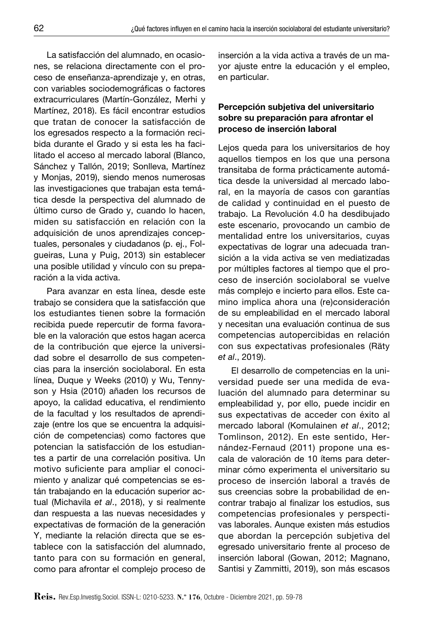La satisfacción del alumnado, en ocasiones, se relaciona directamente con el proceso de enseñanza-aprendizaje y, en otras, con variables sociodemográficas o factores extracurriculares (Martín-González, Merhi y Martínez, 2018). Es fácil encontrar estudios que tratan de conocer la satisfacción de los egresados respecto a la formación recibida durante el Grado y si esta les ha facilitado el acceso al mercado laboral (Blanco, Sánchez y Tallón, 2019; Sonlleva, Martínez y Monjas, 2019), siendo menos numerosas las investigaciones que trabajan esta temática desde la perspectiva del alumnado de último curso de Grado y, cuando lo hacen, miden su satisfacción en relación con la adquisición de unos aprendizajes conceptuales, personales y ciudadanos (p. ej., Folgueiras, Luna y Puig, 2013) sin establecer una posible utilidad y vínculo con su preparación a la vida activa.

Para avanzar en esta línea, desde este trabajo se considera que la satisfacción que los estudiantes tienen sobre la formación recibida puede repercutir de forma favorable en la valoración que estos hagan acerca de la contribución que ejerce la universidad sobre el desarrollo de sus competencias para la inserción sociolaboral. En esta línea, Duque y Weeks (2010) y Wu, Tennyson y Hsia (2010) añaden los recursos de apoyo, la calidad educativa, el rendimiento de la facultad y los resultados de aprendizaje (entre los que se encuentra la adquisición de competencias) como factores que potencian la satisfacción de los estudiantes a partir de una correlación positiva. Un motivo suficiente para ampliar el conocimiento y analizar qué competencias se están trabajando en la educación superior actual (Michavila *et al*., 2018), y si realmente dan respuesta a las nuevas necesidades y expectativas de formación de la generación Y, mediante la relación directa que se establece con la satisfacción del alumnado, tanto para con su formación en general, como para afrontar el complejo proceso de

inserción a la vida activa a través de un mayor ajuste entre la educación y el empleo, en particular.

## Percepción subjetiva del universitario sobre su preparación para afrontar el proceso de inserción laboral

Lejos queda para los universitarios de hoy aquellos tiempos en los que una persona transitaba de forma prácticamente automática desde la universidad al mercado laboral, en la mayoría de casos con garantías de calidad y continuidad en el puesto de trabajo. La Revolución 4.0 ha desdibujado este escenario, provocando un cambio de mentalidad entre los universitarios, cuyas expectativas de lograr una adecuada transición a la vida activa se ven mediatizadas por múltiples factores al tiempo que el proceso de inserción sociolaboral se vuelve más complejo e incierto para ellos. Este camino implica ahora una (re)consideración de su empleabilidad en el mercado laboral y necesitan una evaluación continua de sus competencias autopercibidas en relación con sus expectativas profesionales (Räty *et al*., 2019).

El desarrollo de competencias en la universidad puede ser una medida de evaluación del alumnado para determinar su empleabilidad y, por ello, puede incidir en sus expectativas de acceder con éxito al mercado laboral (Komulainen *et al*., 2012; Tomlinson, 2012). En este sentido, Hernández-Fernaud (2011) propone una escala de valoración de 10 ítems para determinar cómo experimenta el universitario su proceso de inserción laboral a través de sus creencias sobre la probabilidad de encontrar trabajo al finalizar los estudios, sus competencias profesionales y perspectivas laborales. Aunque existen más estudios que abordan la percepción subjetiva del egresado universitario frente al proceso de inserción laboral (Gowan, 2012; Magnano, Santisi y Zammitti, 2019), son más escasos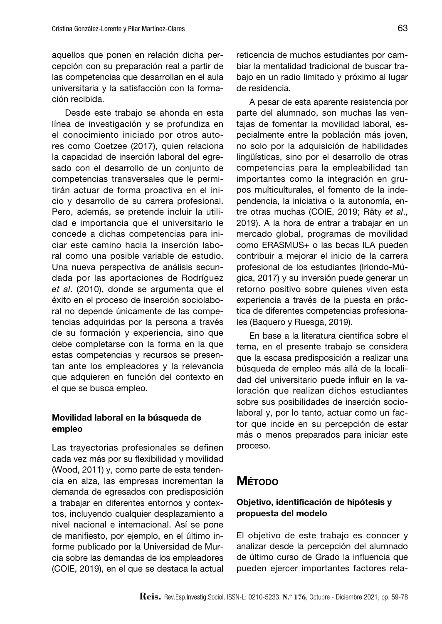aquellos que ponen en relación dicha percepción con su preparación real a partir de las competencias que desarrollan en el aula universitaria y la satisfacción con la formación recibida.

Desde este trabajo se ahonda en esta línea de investigación y se profundiza en el conocimiento iniciado por otros autores como Coetzee (2017), quien relaciona la capacidad de inserción laboral del egresado con el desarrollo de un conjunto de competencias transversales que le permitirán actuar de forma proactiva en el inicio y desarrollo de su carrera profesional. Pero, además, se pretende incluir la utilidad e importancia que el universitario le concede a dichas competencias para iniciar este camino hacia la inserción laboral como una posible variable de estudio. Una nueva perspectiva de análisis secundada por las aportaciones de Rodríguez *et al*. (2010), donde se argumenta que el éxito en el proceso de inserción sociolaboral no depende únicamente de las competencias adquiridas por la persona a través de su formación y experiencia, sino que debe completarse con la forma en la que estas competencias y recursos se presentan ante los empleadores y la relevancia que adquieren en función del contexto en el que se busca empleo.

### Movilidad laboral en la búsqueda de empleo

Las trayectorias profesionales se definen cada vez más por su flexibilidad y movilidad (Wood, 2011) y, como parte de esta tendencia en alza, las empresas incrementan la demanda de egresados con predisposición a trabajar en diferentes entornos y contextos, incluyendo cualquier desplazamiento a nivel nacional e internacional. Así se pone de manifiesto, por ejemplo, en el último informe publicado por la Universidad de Murcia sobre las demandas de los empleadores (COIE, 2019), en el que se destaca la actual reticencia de muchos estudiantes por cambiar la mentalidad tradicional de buscar trabajo en un radio limitado y próximo al lugar de residencia.

A pesar de esta aparente resistencia por parte del alumnado, son muchas las ventajas de fomentar la movilidad laboral, especialmente entre la población más joven, no solo por la adquisición de habilidades lingüísticas, sino por el desarrollo de otras competencias para la empleabilidad tan importantes como la integración en grupos multiculturales, el fomento de la independencia, la iniciativa o la autonomía, entre otras muchas (COIE, 2019; Räty *et al*., 2019). A la hora de entrar a trabajar en un mercado global, programas de movilidad como ERASMUS+ o las becas ILA pueden contribuir a mejorar el inicio de la carrera profesional de los estudiantes (Iriondo-Múgica, 2017) y su inversión puede generar un retorno positivo sobre quienes viven esta experiencia a través de la puesta en práctica de diferentes competencias profesionales (Baquero y Ruesga, 2019).

En base a la literatura científica sobre el tema, en el presente trabajo se considera que la escasa predisposición a realizar una búsqueda de empleo más allá de la localidad del universitario puede influir en la valoración que realizan dichos estudiantes sobre sus posibilidades de inserción sociolaboral y, por lo tanto, actuar como un factor que incide en su percepción de estar más o menos preparados para iniciar este proceso.

## **M**étodo

## Objetivo, identificación de hipótesis y propuesta del modelo

El objetivo de este trabajo es conocer y analizar desde la percepción del alumnado de último curso de Grado la influencia que pueden ejercer importantes factores rela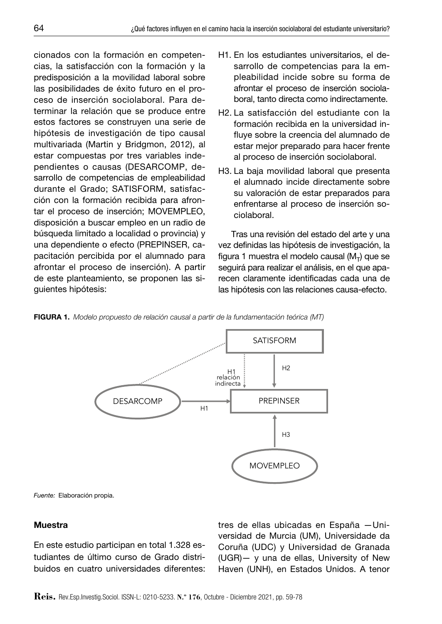cionados con la formación en competencias, la satisfacción con la formación y la predisposición a la movilidad laboral sobre las posibilidades de éxito futuro en el proceso de inserción sociolaboral. Para determinar la relación que se produce entre estos factores se construyen una serie de hipótesis de investigación de tipo causal multivariada (Martin y Bridgmon, 2012), al estar compuestas por tres variables independientes o causas (DESARCOMP, desarrollo de competencias de empleabilidad durante el Grado; SATISFORM, satisfacción con la formación recibida para afrontar el proceso de inserción; MOVEMPLEO, disposición a buscar empleo en un radio de búsqueda limitado a localidad o provincia) y una dependiente o efecto (PREPINSER, capacitación percibida por el alumnado para afrontar el proceso de inserción). A partir de este planteamiento, se proponen las siguientes hipótesis:

- H1. En los estudiantes universitarios, el desarrollo de competencias para la empleabilidad incide sobre su forma de afrontar el proceso de inserción sociolaboral, tanto directa como indirectamente.
- H2. La satisfacción del estudiante con la formación recibida en la universidad influye sobre la creencia del alumnado de estar mejor preparado para hacer frente al proceso de inserción sociolaboral.
- H3. La baja movilidad laboral que presenta el alumnado incide directamente sobre su valoración de estar preparados para enfrentarse al proceso de inserción sociolaboral.

Tras una revisión del estado del arte y una vez definidas las hipótesis de investigación, la figura 1 muestra el modelo causal ( $M_T$ ) que se seguirá para realizar el análisis, en el que aparecen claramente identificadas cada una de las hipótesis con las relaciones causa-efecto.





*Fuente:* Elaboración propia.

#### **Muestra**

En este estudio participan en total 1.328 estudiantes de último curso de Grado distribuidos en cuatro universidades diferentes: tres de ellas ubicadas en España —Universidad de Murcia (UM), Universidade da Coruña (UDC) y Universidad de Granada (UGR)— y una de ellas, University of New Haven (UNH), en Estados Unidos. A tenor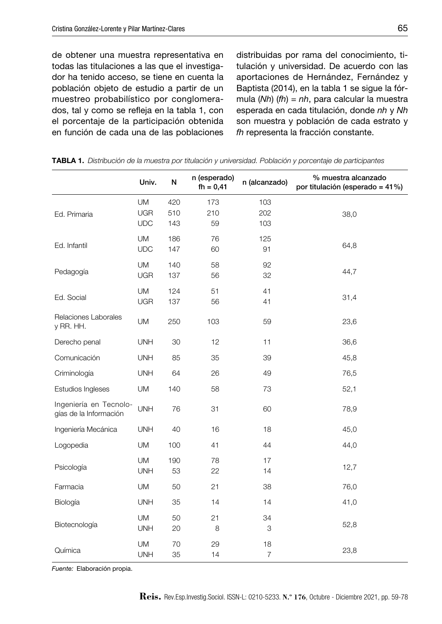de obtener una muestra representativa en todas las titulaciones a las que el investigador ha tenido acceso, se tiene en cuenta la población objeto de estudio a partir de un muestreo probabilístico por conglomerados, tal y como se refleja en la tabla 1, con el porcentaje de la participación obtenida en función de cada una de las poblaciones distribuidas por rama del conocimiento, titulación y universidad. De acuerdo con las aportaciones de Hernández, Fernández y Baptista (2014), en la tabla 1 se sigue la fórmula (*Nh*) (*fh*) = *nh*, para calcular la muestra esperada en cada titulación, donde *nh* y *Nh* son muestra y población de cada estrato y *fh* representa la fracción constante.

|                                                  | Univ.                          | N                 | n (esperado)<br>$fh = 0,41$ | n (alcanzado)        | % muestra alcanzado<br>por titulación (esperado = 41%) |
|--------------------------------------------------|--------------------------------|-------------------|-----------------------------|----------------------|--------------------------------------------------------|
| Ed. Primaria                                     | UM<br><b>UGR</b><br><b>UDC</b> | 420<br>510<br>143 | 173<br>210<br>59            | 103<br>202<br>103    | 38,0                                                   |
| Ed. Infantil                                     | <b>UM</b><br><b>UDC</b>        | 186<br>147        | 76<br>60                    | 125<br>91            | 64,8                                                   |
| Pedagogía                                        | <b>UM</b><br><b>UGR</b>        | 140<br>137        | 58<br>56                    | 92<br>32             | 44,7                                                   |
| Ed. Social                                       | UM<br><b>UGR</b>               | 124<br>137        | 51<br>56                    | 41<br>41             | 31,4                                                   |
| Relaciones Laborales<br>y RR. HH.                | UM                             | 250               | 103                         | 59                   | 23,6                                                   |
| Derecho penal                                    | <b>UNH</b>                     | 30                | 12                          | 11                   | 36,6                                                   |
| Comunicación                                     | <b>UNH</b>                     | 85                | 35                          | 39                   | 45,8                                                   |
| Criminología                                     | <b>UNH</b>                     | 64                | 26                          | 49                   | 76,5                                                   |
| Estudios Ingleses                                | UM                             | 140               | 58                          | 73                   | 52,1                                                   |
| Ingeniería en Tecnolo-<br>gías de la Información | <b>UNH</b>                     | 76                | 31                          | 60                   | 78,9                                                   |
| Ingeniería Mecánica                              | <b>UNH</b>                     | 40                | 16                          | 18                   | 45,0                                                   |
| Logopedia                                        | <b>UM</b>                      | 100               | 41                          | 44                   | 44,0                                                   |
| Psicología                                       | <b>UM</b><br><b>UNH</b>        | 190<br>53         | 78<br>22                    | 17<br>14             | 12,7                                                   |
| Farmacia                                         | UM                             | 50                | 21                          | 38                   | 76,0                                                   |
| Biología                                         | <b>UNH</b>                     | 35                | 14                          | 14                   | 41,0                                                   |
| Biotecnología                                    | <b>UM</b><br><b>UNH</b>        | 50<br>20          | 21<br>8                     | 34<br>3              | 52,8                                                   |
| Química                                          | UM<br><b>UNH</b>               | 70<br>35          | 29<br>14                    | 18<br>$\overline{7}$ | 23,8                                                   |

Tabla 1. *Distribución de la muestra por titulación y universidad. Población y porcentaje de participantes*

*Fuente:* Elaboración propia.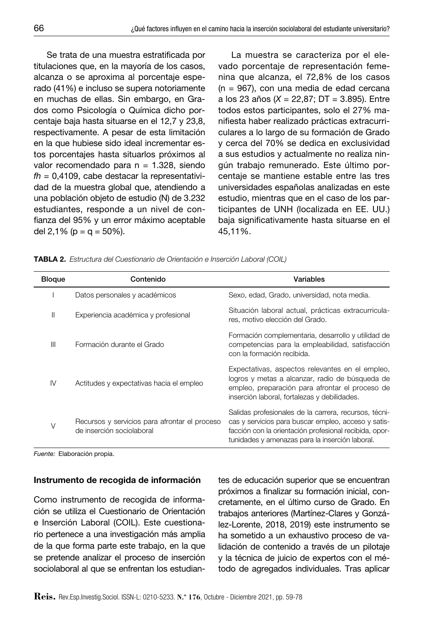Se trata de una muestra estratificada por titulaciones que, en la mayoría de los casos, alcanza o se aproxima al porcentaje esperado (41%) e incluso se supera notoriamente en muchas de ellas. Sin embargo, en Grados como Psicología o Química dicho porcentaje baja hasta situarse en el 12,7 y 23,8, respectivamente. A pesar de esta limitación en la que hubiese sido ideal incrementar estos porcentajes hasta situarlos próximos al valor recomendado para  $n = 1.328$ , siendo *fh* = 0,4109, cabe destacar la representatividad de la muestra global que, atendiendo a una población objeto de estudio (N) de 3.232 estudiantes, responde a un nivel de confianza del 95% y un error máximo aceptable del 2,1% ( $p = q = 50\%$ ).

La muestra se caracteriza por el elevado porcentaje de representación femenina que alcanza, el 72,8% de los casos (n = 967), con una media de edad cercana a los 23 años (*X* = 22,87; DT = 3.895). Entre todos estos participantes, solo el 27% manifiesta haber realizado prácticas extracurriculares a lo largo de su formación de Grado y cerca del 70% se dedica en exclusividad a sus estudios y actualmente no realiza ningún trabajo remunerado. Este último porcentaje se mantiene estable entre las tres universidades españolas analizadas en este estudio, mientras que en el caso de los participantes de UNH (localizada en EE. UU.) baja significativamente hasta situarse en el 45,11%.

|  |  |  |  |  | <b>TABLA 2.</b> Estructura del Cuestionario de Orientación e Inserción Laboral (COIL) |  |
|--|--|--|--|--|---------------------------------------------------------------------------------------|--|
|--|--|--|--|--|---------------------------------------------------------------------------------------|--|

| <b>Bloque</b> | Contenido                                                                  | Variables                                                                                                                                                                                                                 |
|---------------|----------------------------------------------------------------------------|---------------------------------------------------------------------------------------------------------------------------------------------------------------------------------------------------------------------------|
|               | Datos personales y académicos                                              | Sexo, edad, Grado, universidad, nota media.                                                                                                                                                                               |
| Ш             | Experiencia académica y profesional                                        | Situación laboral actual, prácticas extracurricula-<br>res, motivo elección del Grado.                                                                                                                                    |
| Ш             | Formación durante el Grado                                                 | Formación complementaria, desarrollo y utilidad de<br>competencias para la empleabilidad, satisfacción<br>con la formación recibida.                                                                                      |
| IV            | Actitudes y expectativas hacia el empleo                                   | Expectativas, aspectos relevantes en el empleo,<br>logros y metas a alcanzar, radio de búsqueda de<br>empleo, preparación para afrontar el proceso de<br>inserción laboral, fortalezas y debilidades.                     |
| V             | Recursos y servicios para afrontar el proceso<br>de inserción sociolaboral | Salidas profesionales de la carrera, recursos, técni-<br>cas y servicios para buscar empleo, acceso y satis-<br>facción con la orientación profesional recibida, opor-<br>tunidades y amenazas para la inserción laboral. |

*Fuente:* Elaboración propia.

#### Instrumento de recogida de información

Como instrumento de recogida de información se utiliza el Cuestionario de Orientación e Inserción Laboral (COIL). Este cuestionario pertenece a una investigación más amplia de la que forma parte este trabajo, en la que se pretende analizar el proceso de inserción sociolaboral al que se enfrentan los estudiantes de educación superior que se encuentran próximos a finalizar su formación inicial, concretamente, en el último curso de Grado. En trabajos anteriores (Martínez-Clares y González-Lorente, 2018, 2019) este instrumento se ha sometido a un exhaustivo proceso de validación de contenido a través de un pilotaje y la técnica de juicio de expertos con el método de agregados individuales. Tras aplicar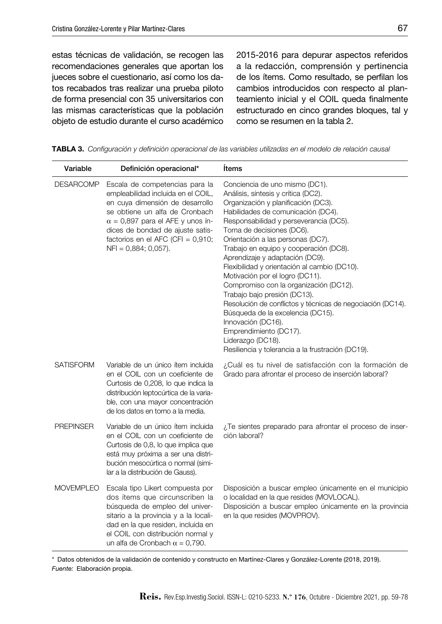estas técnicas de validación, se recogen las recomendaciones generales que aportan los jueces sobre el cuestionario, así como los datos recabados tras realizar una prueba piloto de forma presencial con 35 universitarios con las mismas características que la población objeto de estudio durante el curso académico 2015-2016 para depurar aspectos referidos a la redacción, comprensión y pertinencia de los ítems. Como resultado, se perfilan los cambios introducidos con respecto al planteamiento inicial y el COIL queda finalmente estructurado en cinco grandes bloques, tal y como se resumen en la tabla 2.

|  | TABLA 3. Configuración y definición operacional de las variables utilizadas en el modelo de relación causal |  |  |  |  |  |  |  |  |  |
|--|-------------------------------------------------------------------------------------------------------------|--|--|--|--|--|--|--|--|--|
|--|-------------------------------------------------------------------------------------------------------------|--|--|--|--|--|--|--|--|--|

| Variable         | Definición operacional*                                                                                                                                                                                                                                                                     | Items                                                                                                                                                                                                                                                                                                                                                                                                                                                                                                                                                                                                                                                                                                                                 |
|------------------|---------------------------------------------------------------------------------------------------------------------------------------------------------------------------------------------------------------------------------------------------------------------------------------------|---------------------------------------------------------------------------------------------------------------------------------------------------------------------------------------------------------------------------------------------------------------------------------------------------------------------------------------------------------------------------------------------------------------------------------------------------------------------------------------------------------------------------------------------------------------------------------------------------------------------------------------------------------------------------------------------------------------------------------------|
| <b>DESARCOMP</b> | Escala de competencias para la<br>empleabilidad incluida en el COIL,<br>en cuya dimensión de desarrollo<br>se obtiene un alfa de Cronbach<br>$\alpha$ = 0,897 para el AFE y unos ín-<br>dices de bondad de ajuste satis-<br>factorios en el AFC (CFI = $0,910$ ;<br>$NFI = 0,884; 0,057$ ). | Conciencia de uno mismo (DC1).<br>Análisis, síntesis y crítica (DC2).<br>Organización y planificación (DC3).<br>Habilidades de comunicación (DC4).<br>Responsabilidad y perseverancia (DC5).<br>Toma de decisiones (DC6).<br>Orientación a las personas (DC7).<br>Trabajo en equipo y cooperación (DC8).<br>Aprendizaje y adaptación (DC9).<br>Flexibilidad y orientación al cambio (DC10).<br>Motivación por el logro (DC11).<br>Compromiso con la organización (DC12).<br>Trabajo bajo presión (DC13).<br>Resolución de conflictos y técnicas de negociación (DC14).<br>Búsqueda de la excelencia (DC15).<br>Innovación (DC16).<br>Emprendimiento (DC17).<br>Liderazgo (DC18).<br>Resiliencia y tolerancia a la frustración (DC19). |
| <b>SATISFORM</b> | Variable de un único ítem incluida<br>en el COIL con un coeficiente de<br>Curtosis de 0,208, lo que indica la<br>distribución leptocúrtica de la varia-<br>ble, con una mayor concentración<br>de los datos en torno a la media.                                                            | ¿Cuál es tu nivel de satisfacción con la formación de<br>Grado para afrontar el proceso de inserción laboral?                                                                                                                                                                                                                                                                                                                                                                                                                                                                                                                                                                                                                         |
| <b>PREPINSER</b> | Variable de un único ítem incluida<br>en el COIL con un coeficiente de<br>Curtosis de 0,8, lo que implica que<br>está muy próxima a ser una distri-<br>bución mesocúrtica o normal (simi-<br>lar a la distribución de Gauss).                                                               | ¿Te sientes preparado para afrontar el proceso de inser-<br>ción laboral?                                                                                                                                                                                                                                                                                                                                                                                                                                                                                                                                                                                                                                                             |
| <b>MOVEMPLEO</b> | Escala tipo Likert compuesta por<br>dos ítems que circunscriben la<br>búsqueda de empleo del univer-<br>sitario a la provincia y a la locali-<br>dad en la que residen, incluida en<br>el COIL con distribución normal y<br>un alfa de Cronbach $\alpha$ = 0,790.                           | Disposición a buscar empleo únicamente en el municipio<br>o localidad en la que resides (MOVLOCAL).<br>Disposición a buscar empleo únicamente en la provincia<br>en la que resides (MOVPROV).                                                                                                                                                                                                                                                                                                                                                                                                                                                                                                                                         |

\* Datos obtenidos de la validación de contenido y constructo en Martínez-Clares y González-Lorente (2018, 2019). *Fuente:* Elaboración propia.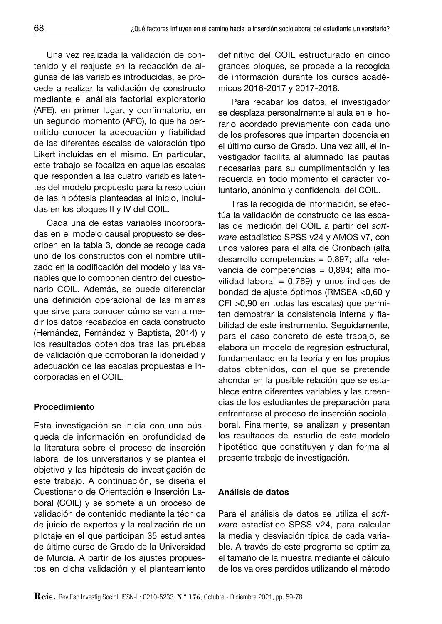Una vez realizada la validación de contenido y el reajuste en la redacción de algunas de las variables introducidas, se procede a realizar la validación de constructo mediante el análisis factorial exploratorio (AFE), en primer lugar, y confirmatorio, en un segundo momento (AFC), lo que ha permitido conocer la adecuación y fiabilidad de las diferentes escalas de valoración tipo Likert incluidas en el mismo. En particular, este trabajo se focaliza en aquellas escalas que responden a las cuatro variables latentes del modelo propuesto para la resolución de las hipótesis planteadas al inicio, incluidas en los bloques II y IV del COIL.

Cada una de estas variables incorporadas en el modelo causal propuesto se describen en la tabla 3, donde se recoge cada uno de los constructos con el nombre utilizado en la codificación del modelo y las variables que lo componen dentro del cuestionario COIL. Además, se puede diferenciar una definición operacional de las mismas que sirve para conocer cómo se van a medir los datos recabados en cada constructo (Hernández, Fernández y Baptista, 2014) y los resultados obtenidos tras las pruebas de validación que corroboran la idoneidad y adecuación de las escalas propuestas e incorporadas en el COIL.

#### Procedimiento

Esta investigación se inicia con una búsqueda de información en profundidad de la literatura sobre el proceso de inserción laboral de los universitarios y se plantea el objetivo y las hipótesis de investigación de este trabajo. A continuación, se diseña el Cuestionario de Orientación e Inserción Laboral (COIL) y se somete a un proceso de validación de contenido mediante la técnica de juicio de expertos y la realización de un pilotaje en el que participan 35 estudiantes de último curso de Grado de la Universidad de Murcia. A partir de los ajustes propuestos en dicha validación y el planteamiento definitivo del COIL estructurado en cinco grandes bloques, se procede a la recogida de información durante los cursos académicos 2016-2017 y 2017-2018.

Para recabar los datos, el investigador se desplaza personalmente al aula en el horario acordado previamente con cada uno de los profesores que imparten docencia en el último curso de Grado. Una vez allí, el investigador facilita al alumnado las pautas necesarias para su cumplimentación y les recuerda en todo momento el carácter voluntario, anónimo y confidencial del COIL.

Tras la recogida de información, se efectúa la validación de constructo de las escalas de medición del COIL a partir del *software* estadístico SPSS v24 y AMOS v7, con unos valores para el alfa de Cronbach (alfa desarrollo competencias = 0,897; alfa relevancia de competencias = 0,894; alfa movilidad laboral =  $0,769$ ) y unos índices de bondad de ajuste óptimos (RMSEA <0,60 y CFI >0,90 en todas las escalas) que permiten demostrar la consistencia interna y fiabilidad de este instrumento. Seguidamente, para el caso concreto de este trabajo, se elabora un modelo de regresión estructural, fundamentado en la teoría y en los propios datos obtenidos, con el que se pretende ahondar en la posible relación que se establece entre diferentes variables y las creencias de los estudiantes de preparación para enfrentarse al proceso de inserción sociolaboral. Finalmente, se analizan y presentan los resultados del estudio de este modelo hipotético que constituyen y dan forma al presente trabajo de investigación.

#### Análisis de datos

Para el análisis de datos se utiliza el *software* estadístico SPSS v24, para calcular la media y desviación típica de cada variable. A través de este programa se optimiza el tamaño de la muestra mediante el cálculo de los valores perdidos utilizando el método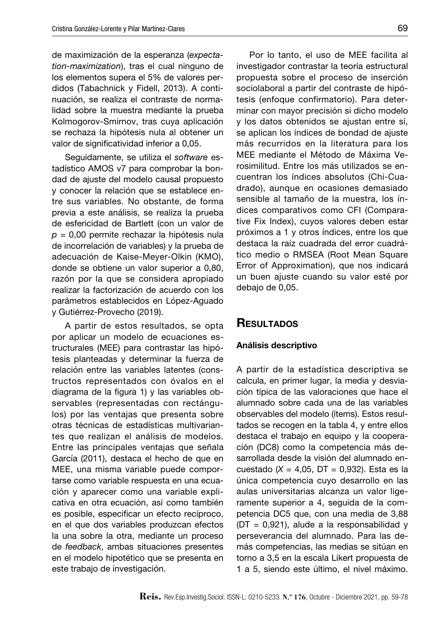de maximización de la esperanza (*expectation-maximization*), tras el cual ninguno de los elementos supera el 5% de valores perdidos (Tabachnick y Fidell, 2013). A continuación, se realiza el contraste de normalidad sobre la muestra mediante la prueba Kolmogorov-Smirnov, tras cuya aplicación se rechaza la hipótesis nula al obtener un valor de significatividad inferior a 0,05.

Seguidamente, se utiliza el *software* estadístico AMOS v7 para comprobar la bondad de ajuste del modelo causal propuesto y conocer la relación que se establece entre sus variables. No obstante, de forma previa a este análisis, se realiza la prueba de esfericidad de Bartlett (con un valor de *p* = 0,00 permite rechazar la hipótesis nula de incorrelación de variables) y la prueba de adecuación de Kaise-Meyer-Olkin (KMO), donde se obtiene un valor superior a 0,80, razón por la que se considera apropiado realizar la factorización de acuerdo con los parámetros establecidos en López-Aguado y Gutiérrez-Provecho (2019).

A partir de estos resultados, se opta por aplicar un modelo de ecuaciones estructurales (MEE) para contrastar las hipótesis planteadas y determinar la fuerza de relación entre las variables latentes (constructos representados con óvalos en el diagrama de la figura 1) y las variables observables (representadas con rectángulos) por las ventajas que presenta sobre otras técnicas de estadísticas multivariantes que realizan el análisis de modelos. Entre las principales ventajas que señala García (2011), destaca el hecho de que en MEE, una misma variable puede comportarse como variable respuesta en una ecuación y aparecer como una variable explicativa en otra ecuación, así como también es posible, especificar un efecto recíproco, en el que dos variables produzcan efectos la una sobre la otra, mediante un proceso de *feedback*, ambas situaciones presentes en el modelo hipotético que se presenta en este trabajo de investigación.

Por lo tanto, el uso de MEE facilita al investigador contrastar la teoría estructural propuesta sobre el proceso de inserción sociolaboral a partir del contraste de hipótesis (enfoque confirmatorio). Para determinar con mayor precisión si dicho modelo y los datos obtenidos se ajustan entre sí, se aplican los índices de bondad de ajuste más recurridos en la literatura para los MEE mediante el Método de Máxima Verosimilitud. Entre los más utilizados se encuentran los índices absolutos (Chi-Cuadrado), aunque en ocasiones demasiado sensible al tamaño de la muestra, los índices comparativos como CFI (Comparative Fix Index), cuyos valores deben estar próximos a 1 y otros índices, entre los que destaca la raíz cuadrada del error cuadrático medio o RMSEA (Root Mean Square Error of Approximation), que nos indicará un buen ajuste cuando su valor esté por debajo de 0,05.

## **RESULTADOS**

#### Análisis descriptivo

A partir de la estadística descriptiva se calcula, en primer lugar, la media y desviación típica de las valoraciones que hace el alumnado sobre cada una de las variables observables del modelo (ítems). Estos resultados se recogen en la tabla 4, y entre ellos destaca el trabajo en equipo y la cooperación (DC8) como la competencia más desarrollada desde la visión del alumnado encuestado (*X* = 4,05, DT = 0,932). Esta es la única competencia cuyo desarrollo en las aulas universitarias alcanza un valor ligeramente superior a 4, seguida de la competencia DC5 que, con una media de 3,88 ( $DT = 0.921$ ), alude a la responsabilidad y perseverancia del alumnado. Para las demás competencias, las medias se sitúan en torno a 3,5 en la escala Likert propuesta de 1 a 5, siendo este último, el nivel máximo.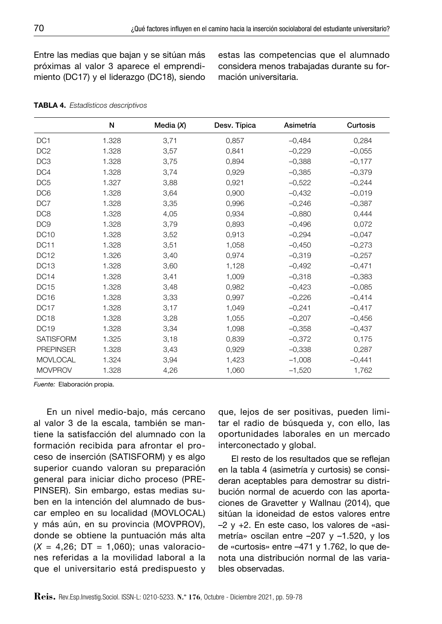Entre las medias que bajan y se sitúan más próximas al valor 3 aparece el emprendimiento (DC17) y el liderazgo (DC18), siendo estas las competencias que el alumnado considera menos trabajadas durante su formación universitaria.

|                  | N     | Media $(X)$ | Desv. Típica | Asimetría | Curtosis |
|------------------|-------|-------------|--------------|-----------|----------|
| DC <sub>1</sub>  | 1.328 | 3,71        | 0,857        | $-0,484$  | 0,284    |
| DC <sub>2</sub>  | 1.328 | 3,57        | 0,841        | $-0,229$  | $-0,055$ |
| DC <sub>3</sub>  | 1.328 | 3,75        | 0,894        | $-0,388$  | $-0,177$ |
| DC4              | 1.328 | 3,74        | 0,929        | $-0,385$  | $-0,379$ |
| DC <sub>5</sub>  | 1.327 | 3,88        | 0,921        | $-0,522$  | $-0,244$ |
| DC <sub>6</sub>  | 1.328 | 3,64        | 0,900        | $-0,432$  | $-0,019$ |
| DC7              | 1.328 | 3,35        | 0,996        | $-0,246$  | $-0,387$ |
| DC <sub>8</sub>  | 1.328 | 4,05        | 0,934        | $-0,880$  | 0,444    |
| DC <sub>9</sub>  | 1.328 | 3,79        | 0,893        | $-0,496$  | 0,072    |
| <b>DC10</b>      | 1.328 | 3,52        | 0,913        | $-0,294$  | $-0,047$ |
| <b>DC11</b>      | 1.328 | 3,51        | 1,058        | $-0,450$  | $-0,273$ |
| <b>DC12</b>      | 1.326 | 3,40        | 0,974        | $-0,319$  | $-0,257$ |
| DC <sub>13</sub> | 1.328 | 3,60        | 1,128        | $-0,492$  | $-0,471$ |
| DC <sub>14</sub> | 1.328 | 3,41        | 1,009        | $-0,318$  | $-0,383$ |
| <b>DC15</b>      | 1.328 | 3,48        | 0,982        | $-0,423$  | $-0,085$ |
| DC <sub>16</sub> | 1.328 | 3,33        | 0,997        | $-0,226$  | $-0,414$ |
| DC <sub>17</sub> | 1.328 | 3,17        | 1,049        | $-0,241$  | $-0,417$ |
| DC <sub>18</sub> | 1.328 | 3,28        | 1,055        | $-0,207$  | $-0,456$ |
| <b>DC19</b>      | 1.328 | 3,34        | 1,098        | $-0,358$  | $-0,437$ |
| <b>SATISFORM</b> | 1.325 | 3,18        | 0,839        | $-0,372$  | 0,175    |
| <b>PREPINSER</b> | 1.328 | 3,43        | 0,929        | $-0,338$  | 0,287    |
| <b>MOVLOCAL</b>  | 1.324 | 3,94        | 1,423        | $-1,008$  | $-0,441$ |
| <b>MOVPROV</b>   | 1.328 | 4,26        | 1,060        | $-1,520$  | 1,762    |

| <b>TABLA 4.</b> Estadísticos descriptivos |  |  |  |
|-------------------------------------------|--|--|--|
|-------------------------------------------|--|--|--|

*Fuente:* Elaboración propia.

En un nivel medio-bajo, más cercano al valor 3 de la escala, también se mantiene la satisfacción del alumnado con la formación recibida para afrontar el proceso de inserción (SATISFORM) y es algo superior cuando valoran su preparación general para iniciar dicho proceso (PRE-PINSER). Sin embargo, estas medias suben en la intención del alumnado de buscar empleo en su localidad (MOVLOCAL) y más aún, en su provincia (MOVPROV), donde se obtiene la puntuación más alta (*X* = 4,26; DT = 1,060); unas valoraciones referidas a la movilidad laboral a la que el universitario está predispuesto y que, lejos de ser positivas, pueden limitar el radio de búsqueda y, con ello, las oportunidades laborales en un mercado interconectado y global.

El resto de los resultados que se reflejan en la tabla 4 (asimetría y curtosis) se consideran aceptables para demostrar su distribución normal de acuerdo con las aportaciones de Gravetter y Wallnau (2014), que sitúan la idoneidad de estos valores entre –2 y +2. En este caso, los valores de «asimetría» oscilan entre –207 y –1.520, y los de «curtosis» entre –471 y 1.762, lo que denota una distribución normal de las variables observadas.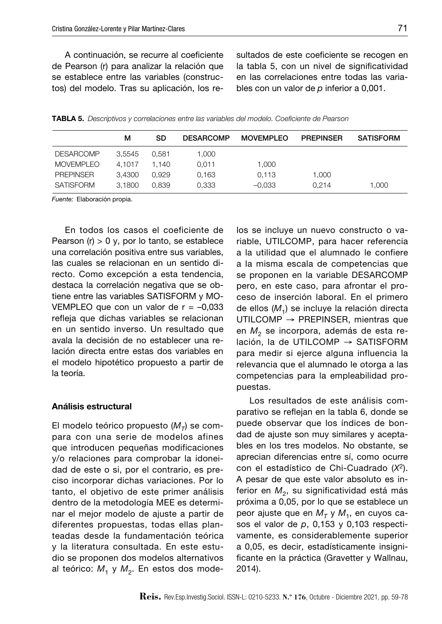A continuación, se recurre al coeficiente de Pearson (r) para analizar la relación que se establece entre las variables (constructos) del modelo. Tras su aplicación, los resultados de este coeficiente se recogen en la tabla 5, con un nivel de significatividad en las correlaciones entre todas las variables con un valor de *p* inferior a 0,001.

| <b>TABLA 5.</b> Descriptivos y correlaciones entre las variables del modelo. Coeficiente de Pearson |  |
|-----------------------------------------------------------------------------------------------------|--|
|-----------------------------------------------------------------------------------------------------|--|

|                  | м      | SD    | <b>DESARCOMP</b> | <b>MOVEMPLEO</b> | <b>PREPINSER</b> | <b>SATISFORM</b> |
|------------------|--------|-------|------------------|------------------|------------------|------------------|
| <b>DESARCOMP</b> | 3.5545 | 0.581 | 1.000            |                  |                  |                  |
| <b>MOVEMPLEO</b> | 4.1017 | 1.140 | 0.011            | 1,000            |                  |                  |
| <b>PREPINSER</b> | 3.4300 | 0.929 | 0.163            | 0.113            | 1.000            |                  |
| SATISFORM        | 3.1800 | 0.839 | 0.333            | $-0.033$         | 0.214            | 1.000            |

*Fuente:* Elaboración propia.

En todos los casos el coeficiente de Pearson  $(r) > 0$  y, por lo tanto, se establece una correlación positiva entre sus variables, las cuales se relacionan en un sentido directo. Como excepción a esta tendencia, destaca la correlación negativa que se obtiene entre las variables SATISFORM y MO-VEMPLEO que con un valor de  $r = -0.033$ refleja que dichas variables se relacionan en un sentido inverso. Un resultado que avala la decisión de no establecer una relación directa entre estas dos variables en el modelo hipotético propuesto a partir de la teoría.

#### Análisis estructural

El modelo teórico propuesto (M<sub>T</sub>) se compara con una serie de modelos afines que introducen pequeñas modificaciones y/o relaciones para comprobar la idoneidad de este o si, por el contrario, es preciso incorporar dichas variaciones. Por lo tanto, el objetivo de este primer análisis dentro de la metodología MEE es determinar el mejor modelo de ajuste a partir de diferentes propuestas, todas ellas planteadas desde la fundamentación teórica y la literatura consultada. En este estudio se proponen dos modelos alternativos al teórico: M<sub>1</sub> y M<sub>2</sub>. En estos dos modelos se incluye un nuevo constructo o variable, UTILCOMP, para hacer referencia a la utilidad que el alumnado le confiere a la misma escala de competencias que se proponen en la variable DESARCOMP pero, en este caso, para afrontar el proceso de inserción laboral. En el primero de ellos (*M*1) se incluye la relación directa UTILCOMP → PREPINSER, mientras que en  $M<sub>2</sub>$  se incorpora, además de esta relación, la de UTILCOMP → SATISFORM para medir si ejerce alguna influencia la relevancia que el alumnado le otorga a las competencias para la empleabilidad propuestas.

Los resultados de este análisis comparativo se reflejan en la tabla 6, donde se puede observar que los índices de bondad de ajuste son muy similares y aceptables en los tres modelos. No obstante, se aprecian diferencias entre sí, como ocurre con el estadístico de Chi-Cuadrado (*X*2). A pesar de que este valor absoluto es inferior en M<sub>2</sub>, su significatividad está más próxima a 0,05, por lo que se establece un peor ajuste que en  $M_T$  y  $M_1$ , en cuyos casos el valor de *p*, 0,153 y 0,103 respectivamente, es considerablemente superior a 0,05, es decir, estadísticamente insignificante en la práctica (Gravetter y Wallnau, 2014).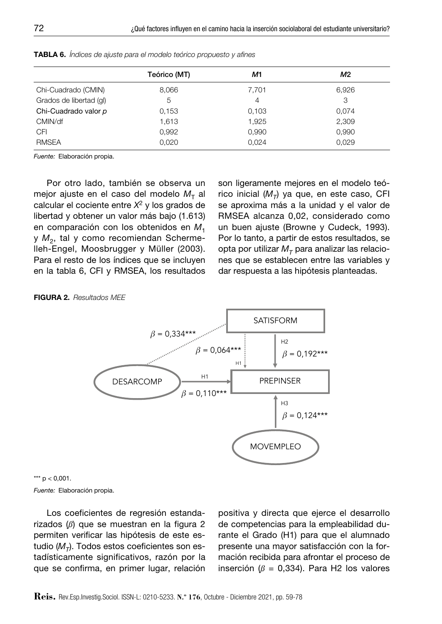|                         | Teórico (MT) | M1    | M2    |
|-------------------------|--------------|-------|-------|
| Chi-Cuadrado (CMIN)     | 8,066        | 7,701 | 6,926 |
| Grados de libertad (gl) | 5            | 4     | З     |
| Chi-Cuadrado valor p    | 0.153        | 0,103 | 0,074 |
| CMIN/df                 | 1,613        | 1,925 | 2,309 |
| <b>CFI</b>              | 0,992        | 0,990 | 0,990 |
| <b>RMSEA</b>            | 0,020        | 0.024 | 0.029 |

Tabla 6. *Índices de ajuste para el modelo teórico propuesto y afines*

*Fuente:* Elaboración propia.

Por otro lado, también se observa un mejor ajuste en el caso del modelo  $M<sub>T</sub>$  al calcular el cociente entre *X*2 y los grados de libertad y obtener un valor más bajo (1.613) en comparación con los obtenidos en M<sub>1</sub> y  $M<sub>2</sub>$ , tal y como recomiendan Schermelleh-Engel, Moosbrugger y Müller (2003). Para el resto de los índices que se incluyen en la tabla 6, CFI y RMSEA, los resultados son ligeramente mejores en el modelo teórico inicial  $(M_T)$  ya que, en este caso, CFI se aproxima más a la unidad y el valor de RMSEA alcanza 0,02, considerado como un buen ajuste (Browne y Cudeck, 1993). Por lo tanto, a partir de estos resultados, se opta por utilizar  $M_T$  para analizar las relaciones que se establecen entre las variables y dar respuesta a las hipótesis planteadas.

#### Figura 2. *Resultados MEE*





Los coeficientes de regresión estandarizados (*ß*) que se muestran en la figura 2 permiten verificar las hipótesis de este estudio  $(M_T)$ . Todos estos coeficientes son estadísticamente significativos, razón por la que se confirma, en primer lugar, relación positiva y directa que ejerce el desarrollo de competencias para la empleabilidad durante el Grado (H1) para que el alumnado presente una mayor satisfacción con la formación recibida para afrontar el proceso de inserción (*ß* = 0,334). Para H2 los valores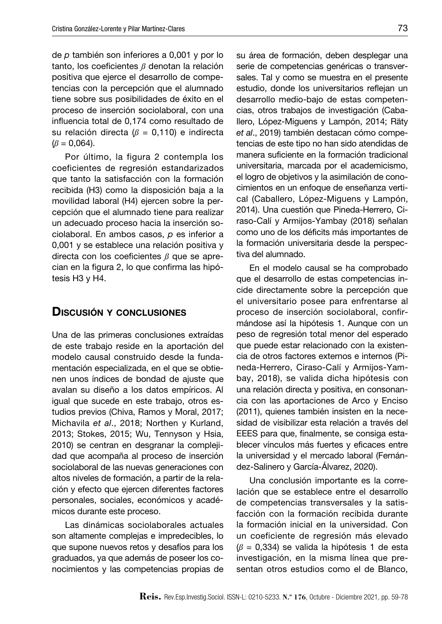de *p* también son inferiores a 0,001 y por lo tanto, los coeficientes *ß* denotan la relación positiva que ejerce el desarrollo de competencias con la percepción que el alumnado tiene sobre sus posibilidades de éxito en el proceso de inserción sociolaboral, con una influencia total de 0,174 como resultado de su relación directa (*ß* = 0,110) e indirecta  $(\beta = 0.064)$ .

Por último, la figura 2 contempla los coeficientes de regresión estandarizados que tanto la satisfacción con la formación recibida (H3) como la disposición baja a la movilidad laboral (H4) ejercen sobre la percepción que el alumnado tiene para realizar un adecuado proceso hacia la inserción sociolaboral. En ambos casos, *p* es inferior a 0,001 y se establece una relación positiva y directa con los coeficientes *ß* que se aprecian en la figura 2, lo que confirma las hipótesis H3 y H4.

## Discusión y conclusiones

Una de las primeras conclusiones extraídas de este trabajo reside en la aportación del modelo causal construido desde la fundamentación especializada, en el que se obtienen unos índices de bondad de ajuste que avalan su diseño a los datos empíricos. Al igual que sucede en este trabajo, otros estudios previos (Chiva, Ramos y Moral, 2017; Michavila *et al*., 2018; Northen y Kurland, 2013; Stokes, 2015; Wu, Tennyson y Hsia, 2010) se centran en desgranar la complejidad que acompaña al proceso de inserción sociolaboral de las nuevas generaciones con altos niveles de formación, a partir de la relación y efecto que ejercen diferentes factores personales, sociales, económicos y académicos durante este proceso.

Las dinámicas sociolaborales actuales son altamente complejas e impredecibles, lo que supone nuevos retos y desafíos para los graduados, ya que además de poseer los conocimientos y las competencias propias de

su área de formación, deben desplegar una serie de competencias genéricas o transversales. Tal y como se muestra en el presente estudio, donde los universitarios reflejan un desarrollo medio-bajo de estas competencias, otros trabajos de investigación (Caballero, López-Miguens y Lampón, 2014; Räty *et al*., 2019) también destacan cómo competencias de este tipo no han sido atendidas de manera suficiente en la formación tradicional universitaria, marcada por el academicismo, el logro de objetivos y la asimilación de conocimientos en un enfoque de enseñanza vertical (Caballero, López-Miguens y Lampón, 2014). Una cuestión que Pineda-Herrero, Ciraso-Calí y Armijos-Yambay (2018) señalan como uno de los déficits más importantes de la formación universitaria desde la perspectiva del alumnado.

En el modelo causal se ha comprobado que el desarrollo de estas competencias incide directamente sobre la percepción que el universitario posee para enfrentarse al proceso de inserción sociolaboral, confirmándose así la hipótesis 1. Aunque con un peso de regresión total menor del esperado que puede estar relacionado con la existencia de otros factores externos e internos (Pineda-Herrero, Ciraso-Calí y Armijos-Yambay, 2018), se valida dicha hipótesis con una relación directa y positiva, en consonancia con las aportaciones de Arco y Enciso (2011), quienes también insisten en la necesidad de visibilizar esta relación a través del EEES para que, finalmente, se consiga establecer vínculos más fuertes y eficaces entre la universidad y el mercado laboral (Fernández-Salinero y García-Álvarez, 2020).

Una conclusión importante es la correlación que se establece entre el desarrollo de competencias transversales y la satisfacción con la formación recibida durante la formación inicial en la universidad. Con un coeficiente de regresión más elevado (*ß* = 0,334) se valida la hipótesis 1 de esta investigación, en la misma línea que presentan otros estudios como el de Blanco,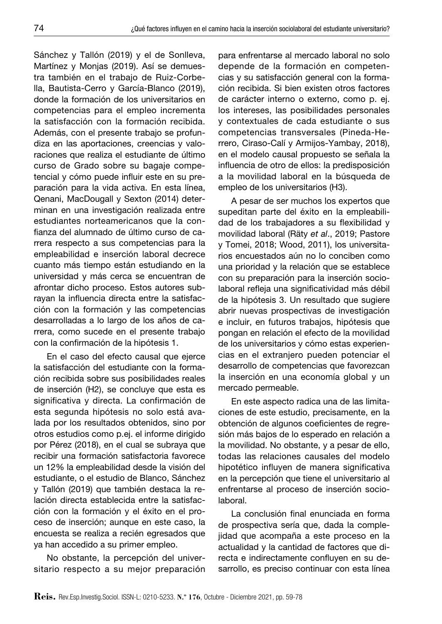Sánchez y Tallón (2019) y el de Sonlleva, Martínez y Monjas (2019). Así se demuestra también en el trabajo de Ruiz-Corbella, Bautista-Cerro y García-Blanco (2019), donde la formación de los universitarios en competencias para el empleo incrementa la satisfacción con la formación recibida. Además, con el presente trabajo se profundiza en las aportaciones, creencias y valoraciones que realiza el estudiante de último curso de Grado sobre su bagaje competencial y cómo puede influir este en su preparación para la vida activa. En esta línea, Qenani, MacDougall y Sexton (2014) determinan en una investigación realizada entre estudiantes norteamericanos que la confianza del alumnado de último curso de carrera respecto a sus competencias para la empleabilidad e inserción laboral decrece cuanto más tiempo están estudiando en la universidad y más cerca se encuentran de afrontar dicho proceso. Estos autores subrayan la influencia directa entre la satisfacción con la formación y las competencias desarrolladas a lo largo de los años de carrera, como sucede en el presente trabajo con la confirmación de la hipótesis 1.

En el caso del efecto causal que ejerce la satisfacción del estudiante con la formación recibida sobre sus posibilidades reales de inserción (H2), se concluye que esta es significativa y directa. La confirmación de esta segunda hipótesis no solo está avalada por los resultados obtenidos, sino por otros estudios como p.ej. el informe dirigido por Pérez (2018), en el cual se subraya que recibir una formación satisfactoria favorece un 12% la empleabilidad desde la visión del estudiante, o el estudio de Blanco, Sánchez y Tallón (2019) que también destaca la relación directa establecida entre la satisfacción con la formación y el éxito en el proceso de inserción; aunque en este caso, la encuesta se realiza a recién egresados que ya han accedido a su primer empleo.

No obstante, la percepción del universitario respecto a su mejor preparación para enfrentarse al mercado laboral no solo depende de la formación en competencias y su satisfacción general con la formación recibida. Si bien existen otros factores de carácter interno o externo, como p. ej. los intereses, las posibilidades personales y contextuales de cada estudiante o sus competencias transversales (Pineda-Herrero, Ciraso-Calí y Armijos-Yambay, 2018), en el modelo causal propuesto se señala la influencia de otro de ellos: la predisposición a la movilidad laboral en la búsqueda de empleo de los universitarios (H3).

A pesar de ser muchos los expertos que supeditan parte del éxito en la empleabilidad de los trabajadores a su flexibilidad y movilidad laboral (Räty *et al*., 2019; Pastore y Tomei, 2018; Wood, 2011), los universitarios encuestados aún no lo conciben como una prioridad y la relación que se establece con su preparación para la inserción sociolaboral refleja una significatividad más débil de la hipótesis 3. Un resultado que sugiere abrir nuevas prospectivas de investigación e incluir, en futuros trabajos, hipótesis que pongan en relación el efecto de la movilidad de los universitarios y cómo estas experiencias en el extranjero pueden potenciar el desarrollo de competencias que favorezcan la inserción en una economía global y un mercado permeable.

En este aspecto radica una de las limitaciones de este estudio, precisamente, en la obtención de algunos coeficientes de regresión más bajos de lo esperado en relación a la movilidad. No obstante, y a pesar de ello, todas las relaciones causales del modelo hipotético influyen de manera significativa en la percepción que tiene el universitario al enfrentarse al proceso de inserción sociolaboral.

La conclusión final enunciada en forma de prospectiva sería que, dada la complejidad que acompaña a este proceso en la actualidad y la cantidad de factores que directa e indirectamente confluyen en su desarrollo, es preciso continuar con esta línea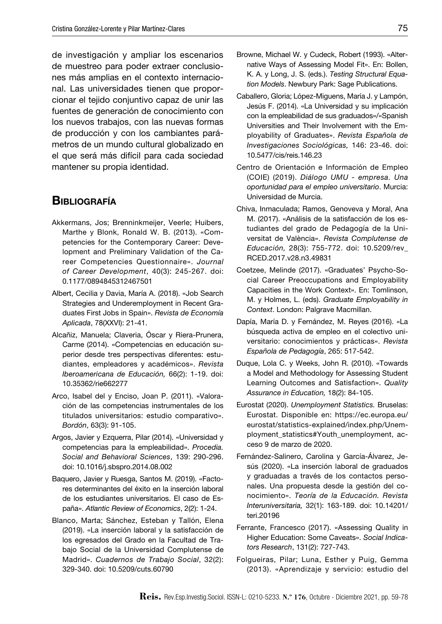de investigación y ampliar los escenarios de muestreo para poder extraer conclusiones más amplias en el contexto internacional. Las universidades tienen que proporcionar el tejido conjuntivo capaz de unir las fuentes de generación de conocimiento con los nuevos trabajos, con las nuevas formas de producción y con los cambiantes parámetros de un mundo cultural globalizado en el que será más difícil para cada sociedad mantener su propia identidad.

## **BIBLIOGRAFÍA**

- Akkermans, Jos; Brenninkmeijer, [Veerle; Huibers,](https://www.researchgate.net/profile/Veerle-Brenninkmeijer)  [Marthe](https://www.researchgate.net/profile/Veerle-Brenninkmeijer) y Blonk, Ronald W. B. (2013). «Competencies for the Contemporary Career: Development and Preliminary Validation of the Career Competencies Questionnaire». *Journal of Career Development*, 40(3): 245-267. doi: 0.1177/0894845312467501
- Albert, Cecilia y Davia, María A. (2018). «Job Search Strategies and Underemployment in Recent Graduates First Jobs in Spain». *Revista de Economía Aplicada*, 78(XXVI): 21-41.
- Alcañiz, Manuela; Claveria, Óscar y Riera-Prunera, Carme (2014). «Competencias en educación superior desde tres perspectivas diferentes: estudiantes, empleadores y académicos». *Revista Iberoamericana de Educación,* 66(2): 1-19. doi: [10.35362/rie662277](https://doi.org/10.35362/rie662277)
- Arco, Isabel del y Enciso, Joan P. (2011). «Valoración de las competencias instrumentales de los titulados universitarios: estudio comparativo». *Bordón*, 63(3): 91-105.
- Argos, Javier y Ezquerra, Pilar (2014). «Universidad y competencias para la empleabilidad». *Procedia. Social and Behavioral Sciences*, 139: 290-296. [doi: 10.1016/j.sbspro.2014.08.002](https://doi.org/10.1016/j.sbspro.2014.08.002)
- Baquero, Javier y Ruesga, Santos M. (2019). «Factores determinantes del éxito en la inserción laboral de los estudiantes universitarios. El caso de España». *Atlantic Review of Economics*, 2(2): 1-24.
- Blanco, Marta; Sánchez, Esteban y Tallón, Elena (2019). «La inserción laboral y la satisfacción de los egresados del Grado en la Facultad de Trabajo Social de la Universidad Complutense de Madrid». *Cuadernos de Trabajo Social*, 32(2): 329-340. doi: 10.5209/cuts.60790
- Browne, Michael W. y Cudeck, Robert (1993). «Alternative Ways of Assessing Model Fit». En: Bollen, K. A. y Long, J. S. (eds.). *Testing Structural Equation Models*. Newbury Park: Sage Publications.
- Caballero, Gloria; López-Miguens, María J. y Lampón, Jesús F. (2014). «La Universidad y su implicación con la empleabilidad de sus graduados»/«Spanish Universities and Their Involvement with the Employability of Graduates». *Revista Española de Investigaciones Sociológicas,* 146: 23-46. doi: 10.5477/cis/reis.146.23
- Centro de Orientación e Información de Empleo (COIE) (2019). *Diálogo UMU - empresa. Una oportunidad para el empleo universitario*. Murcia: Universidad de Murcia.
- Chiva, Inmaculada; Ramos, Genoveva y Moral, Ana M. (2017). «Análisis de la satisfacción de los estudiantes del grado de Pedagogía de la Universitat de València». *Revista Complutense de Educación,* 28(3): 755-772. doi: 10.5209/rev\_ RCED.2017.v28.n3.49831
- Coetzee, Melinde (2017). «Graduates' Psycho-Social Career Preoccupations and Employability Capacities in the Work Context». En: Tomlinson, M. y Holmes, L. (eds). *Graduate Employability in Context*. London: Palgrave Macmillan.
- Dapía, María D. y Fernández, M. Reyes (2016). «La búsqueda activa de empleo en el colectivo universitario: conocimientos y prácticas». *Revista Española de Pedagogía*, 265: 517-542.
- Duque, Lola C. y Weeks, John R. (2010). «Towards a Model and Methodology for Assessing Student Learning Outcomes and Satisfaction». *Quality Assurance in Education,* 18(2): 84-105.
- Eurostat (2020). *Unemployment Statistics.* Bruselas: Eurostat. Disponible en: [https://ec.europa.eu/](https://ec.europa.eu/eurostat/statistics-explained/index.php/Unemployment_statistics#Youth_unemployment) [eurostat/statistics-explained/index.php/Unem](https://ec.europa.eu/eurostat/statistics-explained/index.php/Unemployment_statistics#Youth_unemployment)[ployment\\_statistics#Youth\\_unemployment](https://ec.europa.eu/eurostat/statistics-explained/index.php/Unemployment_statistics#Youth_unemployment), acceso 9 de marzo de 2020.
- Fernández-Salinero, Carolina y García-Álvarez, Jesús (2020). «La inserción laboral de graduados y graduadas a través de los contactos personales. Una propuesta desde la gestión del conocimiento». *Teoría de la Educación. Revista Interuniversitaria,* 32(1): 163-189. doi: 10.14201/ teri.20196
- Ferrante, Francesco (2017). «Assessing Quality in Higher Education: Some Caveats». *Social Indicators Research*, 131(2): 727-743.
- Folgueiras, Pilar; Luna, Esther y Puig, Gemma (2013). «Aprendizaje y servicio: estudio del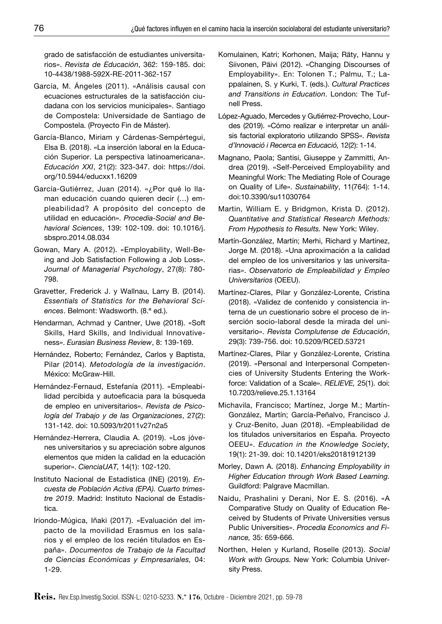grado de satisfacción de estudiantes universitarios». *Revista de Educación*, 362: 159-185. doi: 10-4438/1988-592X-RE-2011-362-157

- García, M. Ángeles (2011). «Análisis causal con ecuaciones estructurales de la satisfacción ciudadana con los servicios municipales». Santiago de Compostela: Universidade de Santiago de Compostela. (Proyecto Fin de Máster).
- García-Blanco, Miriam y Cárdenas-Sempértegui, Elsa B. (2018). «La inserción laboral en la Educación Superior. La perspectiva latinoamericana». *Educación XXI*, 21(2): 323-347. doi: https://doi. org/10.5944/educxx1.16209
- García-Gutiérrez, Juan (2014). «¿Por qué lo llaman educación cuando quieren decir (…) empleabilidad? A propósito del concepto de utilidad en educación». *Procedia-Social and Behavioral Sciences*, 139: 102-109. doi: 10.1016/j. sbspro.2014.08.034
- Gowan, Mary A. (2012). «Employability, Well-Being and Job Satisfaction Following a Job Loss». *Journal of Managerial Psychology*, 27(8): 780- 798.
- Gravetter, Frederick J. y Wallnau, Larry B. (2014). *Essentials of Statistics for the Behavioral Sciences*. Belmont: Wadsworth. (8.ª ed.).
- Hendarman, Achmad y Cantner, Uwe (2018). «Soft Skills, Hard Skills, and Individual Innovativeness». *Eurasian Business Review*, 8: 139-169.
- Hernández, Roberto; Fernández, Carlos y Baptista, Pilar (2014). *Metodología de la investigación*. México: McGraw-Hill.
- Hernández-Fernaud, Estefanía (2011). «Empleabilidad percibida y autoeficacia para la búsqueda de empleo en universitarios». *Revista de Psicología del Trabajo y de las Organizaciones*, 27(2): 131-142. doi: 10.5093/tr2011v27n2a5
- Hernández-Herrera, Claudia A. (2019). «Los jóvenes universitarios y su apreciación sobre algunos elementos que miden la calidad en la educación superior». *CienciaUAT,* 14(1): 102-120.
- Instituto Nacional de Estadística (INE) (2019). *Encuesta de Población Activa (EPA). Cuarto trimestre 2019*. Madrid: Instituto Nacional de Estadística.
- Iriondo-Múgica, Iñaki (2017). «Evaluación del impacto de la movilidad Erasmus en los salarios y el empleo de los recién titulados en España». *Documentos de Trabajo de la Facultad de Ciencias Económicas y Empresariales,* 04: 1-29.
- Komulainen, Katri; Korhonen, Maija; Räty, Hannu y Siivonen, Päivi (2012). «Changing Discourses of Employability». En: Tolonen T.; Palmu, T.; Lappalainen, S. y Kurki, T. (eds.). *Cultural Practices and Transitions in Education*. London: The Tufnell Press.
- López-Aguado, Mercedes y Gutiérrez-Provecho, Lourdes (2019). «Cómo realizar e interpretar un análisis factorial exploratorio utilizando SPSS». *Revista d'Innovació i Recerca en Educació,* 12(2): 1-14.
- Magnano, Paola; Santisi, Giuseppe y Zammitti, Andrea (2019). «Self-Perceived Employability and Meaningful Work: The Mediating Role of Courage on Quality of Life». *Sustainability*, 11(764): 1-14. doi:10.3390/su11030764
- Martin, William E. y Bridgmon, Krista D. (2012). *Quantitative and Statistical Research Methods: From Hypothesis to Results.* New York: Wiley.
- Martín-González, Martín; Merhi, Richard y Martínez, Jorge M. (2018). «Una aproximación a la calidad del empleo de los universitarios y las universitarias». *Observatorio de Empleabilidad y Empleo Universitarios* (OEEU).
- Martínez-Clares, Pilar y González-Lorente, Cristina (2018). «Validez de contenido y consistencia interna de un cuestionario sobre el proceso de inserción socio-laboral desde la mirada del universitario». *Revista Complutense de Educación*, 29(3): 739-756. doi: 10.5209/RCED.53721
- Martínez-Clares, Pilar y González-Lorente, Cristina (2019). «Personal and Interpersonal Competencies of University Students Entering the Workforce: Validation of a Scale». *RELIEVE,* 25(1). doi: 10.7203/relieve.25.1.13164
- Michavila, Francisco; Martínez, Jorge M.; Martín-González, Martín; García-Peñalvo, Francisco J. y Cruz-Benito, Juan (2018). «Empleabilidad de los titulados universitarios en España. Proyecto OEEU». *Education in the Knowledge Society,*  19(1): 21-39. doi: [10.14201/eks20181912139](https://doi.org/10.14201/eks20181912139)
- Morley, Dawn A. (2018). *Enhancing Employability in Higher Education through Work Based Learning.*  Guildford: Palgrave Macmillan.
- Naidu, Prashalini y Derani, Nor E. S. (2016). «A Comparative Study on Quality of Education Received by Students of Private Universities versus Public Universities». *Procedia Economics and Finance,* 35: 659-666.
- Northen, Helen y Kurland, Roselle (2013). *Social Work with Groups.* New York: Columbia University Press.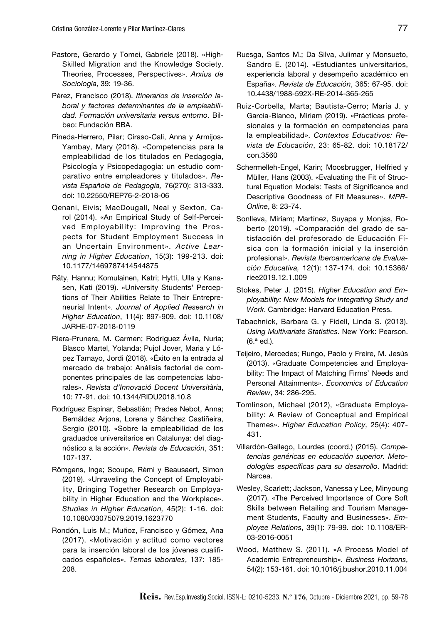- Pastore, Gerardo y Tomei, Gabriele (2018). «High-Skilled Migration and the Knowledge Society. Theories, Processes, Perspectives». *Arxius de Sociología*, 39: 19-36.
- Pérez, Francisco (2018). *Itinerarios de inserción laboral y factores determinantes de la empleabilidad. Formación universitaria versus entorno*. Bilbao: Fundación BBA.
- Pineda-Herrero, Pilar; Ciraso-Cali, Anna y Armijos-Yambay, Mary (2018). «Competencias para la empleabilidad de los titulados en Pedagogía, Psicología y Psicopedagogía: un estudio comparativo entre empleadores y titulados». *Revista Española de Pedagogía,* 76(270): 313-333. doi: [10.22550/REP76-2-2018-06](https://doi.org/10.22550/REP76-2-2018-06)
- Qenani, Eivis; MacDougall, Neal y Sexton, Carol (2014). «An Empirical Study of Self-Perceived Employability: Improving the Prospects for Student Employment Success in an Uncertain Environment». *Active Learning in Higher Education*, 15(3): 199-213. doi: [10.1177/1469787414544875](https://doi.org/10.1177%2F1469787414544875)
- Räty, Hannu; Komulainen, Katri; Hytti, Ulla y Kanasen, Kati (2019). «University Students' Perceptions of Their Abilities Relate to Their Entrepreneurial Intent». *Journal of Applied Research in Higher Education*, 11(4): 897-909. doi: 10.1108/ JARHE-07-2018-0119
- Riera-Prunera, M. Carmen; Rodríguez Ávila, Nuria; Blasco Martel, Yolanda; Pujol Jover, Maria y López Tamayo, Jordi (2018). «Éxito en la entrada al mercado de trabajo: Análisis factorial de componentes principales de las competencias laborales». *Revista d'Innovació Docent Universitària*, 10: 77-91. doi: [10.1344/RIDU2018.10.8](http://dx.doi.org/10.1344/RIDU2018.10.8)
- Rodríguez Espinar, Sebastián; Prades Nebot, Anna; Bernáldez Arjona, Lorena y Sánchez Castiñeira, Sergio (2010). «Sobre la empleabilidad de los graduados universitarios en Catalunya: del diagnóstico a la acción». *Revista de Educación*, 351: 107-137.
- Römgens, Inge; Scoupe, Rémi y Beausaert, Simon (2019). «Unraveling the Concept of Employability, Bringing Together Research on Employability in Higher Education and the Workplace». *Studies in Higher Education,* 45(2): 1-16. doi: [10.1080/03075079.2019.1623770](https://doi.org/10.1080/03075079.2019.1623770)
- Rondón, Luis M.; Muñoz, Francisco y Gómez, Ana (2017). «Motivación y actitud como vectores para la inserción laboral de los jóvenes cualificados españoles». *Temas laborales*, 137: 185- 208.
- Ruesga, Santos M.; Da Silva, Julimar y Monsueto, Sandro E. (2014). «Estudiantes universitarios, experiencia laboral y desempeño académico en España». *Revista de Educación*, 365: 67-95. doi: 10.4438/1988-592X-RE-2014-365-265
- Ruiz-Corbella, Marta; Bautista-Cerro; María J. y García-Blanco, Miriam (2019). «Prácticas profesionales y la formación en competencias para la empleabilidad». *Contextos Educativos: Revista de Educación*, 23: 65-82. doi: [10.18172/](https://doi.org/10.18172/con.3560) [con.3560](https://doi.org/10.18172/con.3560)
- Schermelleh-Engel, Karin; Moosbrugger, Helfried y Müller, Hans (2003). «Evaluating the Fit of Structural Equation Models: Tests of Significance and Descriptive Goodness of Fit Measures». *MPR-Online*, 8: 23-74.
- Sonlleva, Miriam; Martínez, Suyapa y Monjas, Roberto (2019). «Comparación del grado de satisfacción del profesorado de Educación Física con la formación inicial y la inserción profesional». *Revista Iberoamericana de Evaluación Educativa,* 12(1): 137-174. doi: [10.15366/](http://dx.doi.org/10.15366/riee2019.12.1.009) [riee2019.12.1.009](http://dx.doi.org/10.15366/riee2019.12.1.009)
- Stokes, Peter J. (2015). *Higher Education and Employability: New Models for Integrating Study and Work*. Cambridge: Harvard Education Press.
- Tabachnick, Barbara G. y Fidell, Linda S. (2013). *Using Multivariate Statistics*. New York: Pearson. (6.ª ed.).
- Teijeiro, Mercedes; Rungo, Paolo y Freire, M. Jesús (2013). «Graduate Competencies and Employability: The Impact of Matching Firms' Needs and Personal Attainments». *Economics of Education Review*, 34: 286-295.
- Tomlinson, Michael (2012), «Graduate Employability: A Review of Conceptual and Empirical Themes». *Higher Education Policy,* 25(4): 407- 431.
- Villardón-Gallego, Lourdes (coord.) (2015). *Competencias genéricas en educación superior. Metodologías específicas para su desarrollo*. Madrid: Narcea.
- Wesley, Scarlett; Jackson, Vanessa y Lee, Minyoung (2017). «The Perceived Importance of Core Soft Skills between Retailing and Tourism Management Students, Faculty and Businesses». *Employee Relations*, 39(1): 79-99. doi: [10.1108/ER-](https://doi.org/10.1108/ER-03-2016-0051)[03-2016-0051](https://doi.org/10.1108/ER-03-2016-0051)
- Wood, Matthew S. (2011). «A Process Model of Academic Entrepreneurship». *Business Horizons*, 54(2): 153-161. [doi: 10.1016/j.bushor.2010.11.004](http://doi.org/10.1016/j.bushor.2010.11.004)